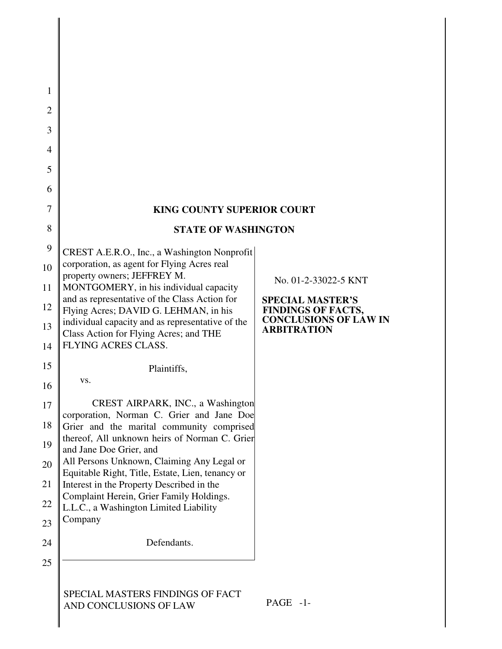| 1              |                                                                                                |                                                                                      |  |
|----------------|------------------------------------------------------------------------------------------------|--------------------------------------------------------------------------------------|--|
| $\overline{2}$ |                                                                                                |                                                                                      |  |
| 3              |                                                                                                |                                                                                      |  |
| 4              |                                                                                                |                                                                                      |  |
| 5              |                                                                                                |                                                                                      |  |
| 6              |                                                                                                |                                                                                      |  |
| 7              | <b>KING COUNTY SUPERIOR COURT</b>                                                              |                                                                                      |  |
| 8              | <b>STATE OF WASHINGTON</b>                                                                     |                                                                                      |  |
| 9              | CREST A.E.R.O., Inc., a Washington Nonprofit                                                   |                                                                                      |  |
| 10             | corporation, as agent for Flying Acres real<br>property owners; JEFFREY M.                     |                                                                                      |  |
| 11             | MONTGOMERY, in his individual capacity<br>and as representative of the Class Action for        | No. 01-2-33022-5 KNT                                                                 |  |
| 12             | Flying Acres; DAVID G. LEHMAN, in his                                                          | <b>SPECIAL MASTER'S</b><br><b>FINDINGS OF FACTS,</b><br><b>CONCLUSIONS OF LAW IN</b> |  |
| 13             | individual capacity and as representative of the<br>Class Action for Flying Acres; and THE     | <b>ARBITRATION</b>                                                                   |  |
| 14             | FLYING ACRES CLASS.                                                                            |                                                                                      |  |
| 15             | Plaintiffs,                                                                                    |                                                                                      |  |
| 16             | VS.                                                                                            |                                                                                      |  |
| 17             | CREST AIRPARK, INC., a Washington<br>corporation, Norman C. Grier and Jane Doe                 |                                                                                      |  |
| 18             | Grier and the marital community comprised<br>thereof, All unknown heirs of Norman C. Grien     |                                                                                      |  |
| 19             | and Jane Doe Grier, and                                                                        |                                                                                      |  |
| 20             | All Persons Unknown, Claiming Any Legal or<br>Equitable Right, Title, Estate, Lien, tenancy or |                                                                                      |  |
| 21             | Interest in the Property Described in the<br>Complaint Herein, Grier Family Holdings.          |                                                                                      |  |
| 22             | L.L.C., a Washington Limited Liability<br>Company                                              |                                                                                      |  |
| 23             |                                                                                                |                                                                                      |  |
| 24             | Defendants.                                                                                    |                                                                                      |  |
| 25             |                                                                                                |                                                                                      |  |
|                | SPECIAL MASTERS FINDINGS OF FACT<br>AND CONCLUSIONS OF LAW                                     | PAGE -1-                                                                             |  |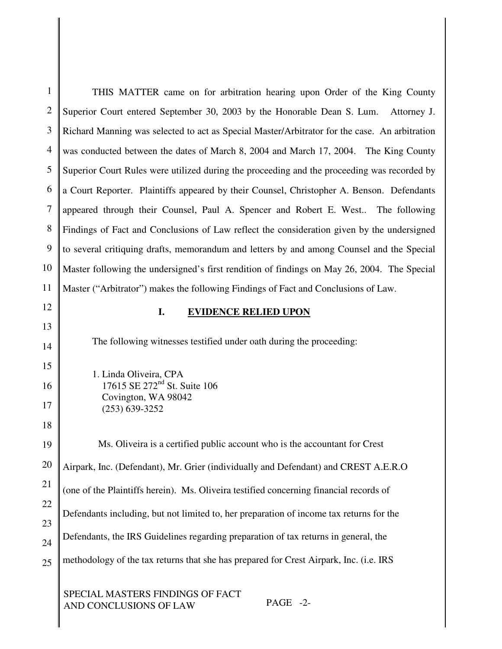| $\mathbf{1}$   | THIS MATTER came on for arbitration hearing upon Order of the King County                     |
|----------------|-----------------------------------------------------------------------------------------------|
| $\overline{2}$ | Superior Court entered September 30, 2003 by the Honorable Dean S. Lum.<br>Attorney J.        |
| 3              | Richard Manning was selected to act as Special Master/Arbitrator for the case. An arbitration |
| 4              | was conducted between the dates of March 8, 2004 and March 17, 2004. The King County          |
| 5              | Superior Court Rules were utilized during the proceeding and the proceeding was recorded by   |
| 6              | a Court Reporter. Plaintiffs appeared by their Counsel, Christopher A. Benson. Defendants     |
| 7              | appeared through their Counsel, Paul A. Spencer and Robert E. West The following              |
| 8              | Findings of Fact and Conclusions of Law reflect the consideration given by the undersigned    |
| 9              | to several critiquing drafts, memorandum and letters by and among Counsel and the Special     |
| 10             | Master following the undersigned's first rendition of findings on May 26, 2004. The Special   |
| 11             | Master ("Arbitrator") makes the following Findings of Fact and Conclusions of Law.            |
| 12             | I.<br><b>EVIDENCE RELIED UPON</b>                                                             |
| 13             |                                                                                               |
| 14             | The following witnesses testified under oath during the proceeding:                           |
| 15             | 1. Linda Oliveira, CPA                                                                        |
| 16             | 17615 SE 272 <sup>nd</sup> St. Suite 106<br>Covington, WA 98042                               |
| 17             | $(253) 639 - 3252$                                                                            |
| 18             |                                                                                               |
| 19             | Ms. Oliveira is a certified public account who is the accountant for Crest                    |
| 20             | Airpark, Inc. (Defendant), Mr. Grier (individually and Defendant) and CREST A.E.R.O           |
| 21             | (one of the Plaintiffs herein). Ms. Oliveira testified concerning financial records of        |
| 22             | Defendants including, but not limited to, her preparation of income tax returns for the       |
| 23             | Defendants, the IRS Guidelines regarding preparation of tax returns in general, the           |
| 24             |                                                                                               |
| 25             | methodology of the tax returns that she has prepared for Crest Airpark, Inc. (i.e. IRS        |
|                |                                                                                               |

SPECIAL MASTERS FINDINGS OF FACT AND CONCLUSIONS OF LAW PAGE -2-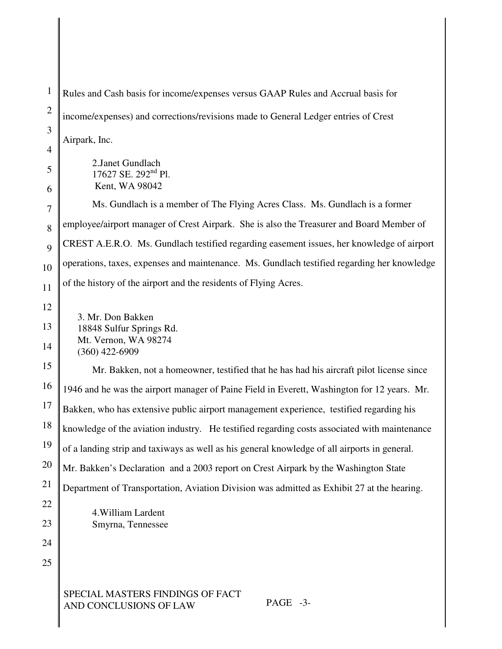1 2 3 4 5 6 7 8 9 10 11 12 13 14 15 16 17 18 19 20 21 22 23 24 25 SPECIAL MASTERS FINDINGS OF FACT AND CONCLUSIONS OF LAW PAGE -3- Rules and Cash basis for income/expenses versus GAAP Rules and Accrual basis for income/expenses) and corrections/revisions made to General Ledger entries of Crest Airpark, Inc. 2.Janet Gundlach 17627 SE. 292<sup>nd</sup> Pl. Kent, WA 98042 Ms. Gundlach is a member of The Flying Acres Class. Ms. Gundlach is a former employee/airport manager of Crest Airpark. She is also the Treasurer and Board Member of CREST A.E.R.O. Ms. Gundlach testified regarding easement issues, her knowledge of airport operations, taxes, expenses and maintenance. Ms. Gundlach testified regarding her knowledge of the history of the airport and the residents of Flying Acres. 3. Mr. Don Bakken 18848 Sulfur Springs Rd. Mt. Vernon, WA 98274 (360) 422-6909 Mr. Bakken, not a homeowner, testified that he has had his aircraft pilot license since 1946 and he was the airport manager of Paine Field in Everett, Washington for 12 years. Mr. Bakken, who has extensive public airport management experience, testified regarding his knowledge of the aviation industry. He testified regarding costs associated with maintenance of a landing strip and taxiways as well as his general knowledge of all airports in general. Mr. Bakken's Declaration and a 2003 report on Crest Airpark by the Washington State Department of Transportation, Aviation Division was admitted as Exhibit 27 at the hearing. 4.William Lardent Smyrna, Tennessee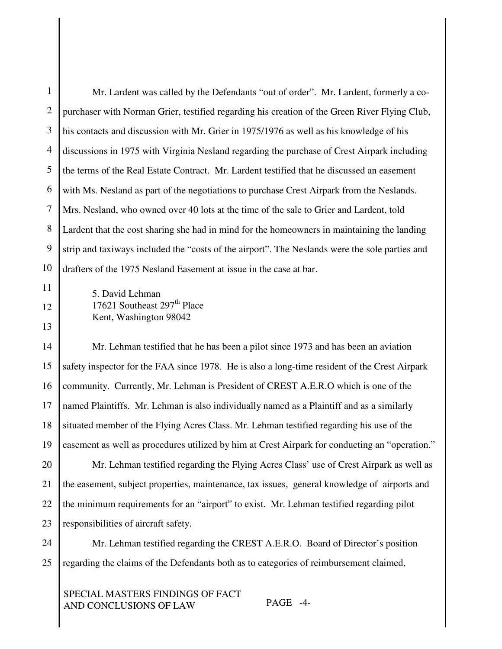| 1  | Mr. Lardent was called by the Defendants "out of order". Mr. Lardent, formerly a co-           |
|----|------------------------------------------------------------------------------------------------|
| 2  | purchaser with Norman Grier, testified regarding his creation of the Green River Flying Club,  |
| 3  | his contacts and discussion with Mr. Grier in 1975/1976 as well as his knowledge of his        |
| 4  | discussions in 1975 with Virginia Nesland regarding the purchase of Crest Airpark including    |
| 5  | the terms of the Real Estate Contract. Mr. Lardent testified that he discussed an easement     |
| 6  | with Ms. Nesland as part of the negotiations to purchase Crest Airpark from the Neslands.      |
|    | Mrs. Nesland, who owned over 40 lots at the time of the sale to Grier and Lardent, told        |
| 8  | Lardent that the cost sharing she had in mind for the homeowners in maintaining the landing    |
| 9  | strip and taxiways included the "costs of the airport". The Neslands were the sole parties and |
| 10 | drafters of the 1975 Nesland Easement at issue in the case at bar.                             |
|    |                                                                                                |

12

5. David Lehman 17621 Southeast 297<sup>th</sup> Place Kent, Washington 98042

13

14 15 16 17 18 19 Mr. Lehman testified that he has been a pilot since 1973 and has been an aviation safety inspector for the FAA since 1978. He is also a long-time resident of the Crest Airpark community. Currently, Mr. Lehman is President of CREST A.E.R.O which is one of the named Plaintiffs. Mr. Lehman is also individually named as a Plaintiff and as a similarly situated member of the Flying Acres Class. Mr. Lehman testified regarding his use of the easement as well as procedures utilized by him at Crest Airpark for conducting an "operation."

20 21 22 23 Mr. Lehman testified regarding the Flying Acres Class' use of Crest Airpark as well as the easement, subject properties, maintenance, tax issues, general knowledge of airports and the minimum requirements for an "airport" to exist. Mr. Lehman testified regarding pilot responsibilities of aircraft safety.

24 25 Mr. Lehman testified regarding the CREST A.E.R.O. Board of Director's position regarding the claims of the Defendants both as to categories of reimbursement claimed,

SPECIAL MASTERS FINDINGS OF FACT AND CONCLUSIONS OF LAW PAGE -4-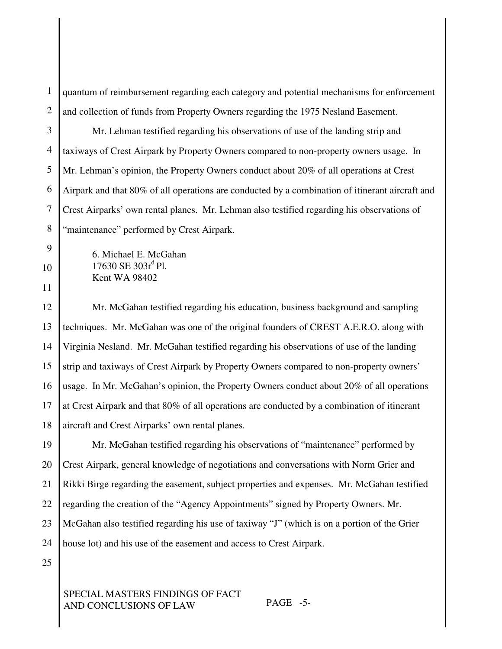1 2 quantum of reimbursement regarding each category and potential mechanisms for enforcement and collection of funds from Property Owners regarding the 1975 Nesland Easement.

3 4 5 6 7 8 Mr. Lehman testified regarding his observations of use of the landing strip and taxiways of Crest Airpark by Property Owners compared to non-property owners usage. In Mr. Lehman's opinion, the Property Owners conduct about 20% of all operations at Crest Airpark and that 80% of all operations are conducted by a combination of itinerant aircraft and Crest Airparks' own rental planes. Mr. Lehman also testified regarding his observations of "maintenance" performed by Crest Airpark.

6. Michael E. McGahan 17630 SE 303r<sup>d</sup> Pl. Kent WA 98402

12 13 14 15 16 17 18 Mr. McGahan testified regarding his education, business background and sampling techniques. Mr. McGahan was one of the original founders of CREST A.E.R.O. along with Virginia Nesland. Mr. McGahan testified regarding his observations of use of the landing strip and taxiways of Crest Airpark by Property Owners compared to non-property owners' usage. In Mr. McGahan's opinion, the Property Owners conduct about 20% of all operations at Crest Airpark and that 80% of all operations are conducted by a combination of itinerant aircraft and Crest Airparks' own rental planes.

19 20 21 22 23 24 Mr. McGahan testified regarding his observations of "maintenance" performed by Crest Airpark, general knowledge of negotiations and conversations with Norm Grier and Rikki Birge regarding the easement, subject properties and expenses. Mr. McGahan testified regarding the creation of the "Agency Appointments" signed by Property Owners. Mr. McGahan also testified regarding his use of taxiway "J" (which is on a portion of the Grier house lot) and his use of the easement and access to Crest Airpark.

25

9

10

11

## SPECIAL MASTERS FINDINGS OF FACT AND CONCLUSIONS OF LAW PAGE -5-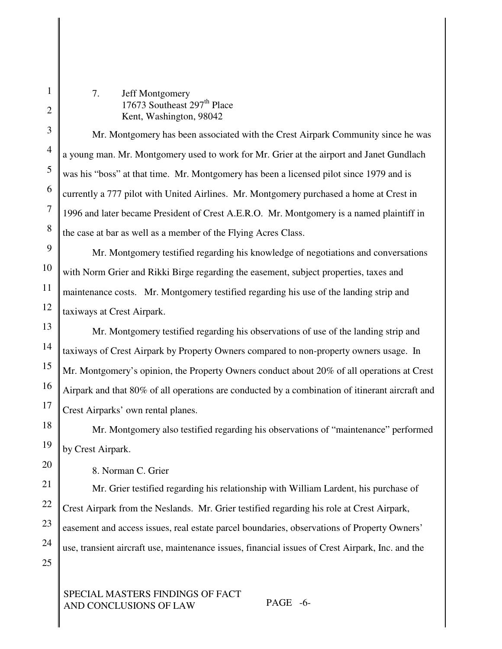7. Jeff Montgomery 17673 Southeast 297<sup>th</sup> Place Kent, Washington, 98042

Mr. Montgomery has been associated with the Crest Airpark Community since he was a young man. Mr. Montgomery used to work for Mr. Grier at the airport and Janet Gundlach was his "boss" at that time. Mr. Montgomery has been a licensed pilot since 1979 and is currently a 777 pilot with United Airlines. Mr. Montgomery purchased a home at Crest in 1996 and later became President of Crest A.E.R.O. Mr. Montgomery is a named plaintiff in the case at bar as well as a member of the Flying Acres Class.

Mr. Montgomery testified regarding his knowledge of negotiations and conversations with Norm Grier and Rikki Birge regarding the easement, subject properties, taxes and maintenance costs. Mr. Montgomery testified regarding his use of the landing strip and taxiways at Crest Airpark.

Mr. Montgomery testified regarding his observations of use of the landing strip and taxiways of Crest Airpark by Property Owners compared to non-property owners usage. In Mr. Montgomery's opinion, the Property Owners conduct about 20% of all operations at Crest Airpark and that 80% of all operations are conducted by a combination of itinerant aircraft and Crest Airparks' own rental planes.

Mr. Montgomery also testified regarding his observations of "maintenance" performed by Crest Airpark.

8. Norman C. Grier

Mr. Grier testified regarding his relationship with William Lardent, his purchase of Crest Airpark from the Neslands. Mr. Grier testified regarding his role at Crest Airpark, easement and access issues, real estate parcel boundaries, observations of Property Owners' use, transient aircraft use, maintenance issues, financial issues of Crest Airpark, Inc. and the

SPECIAL MASTERS FINDINGS OF FACT AND CONCLUSIONS OF LAW PAGE -6-

1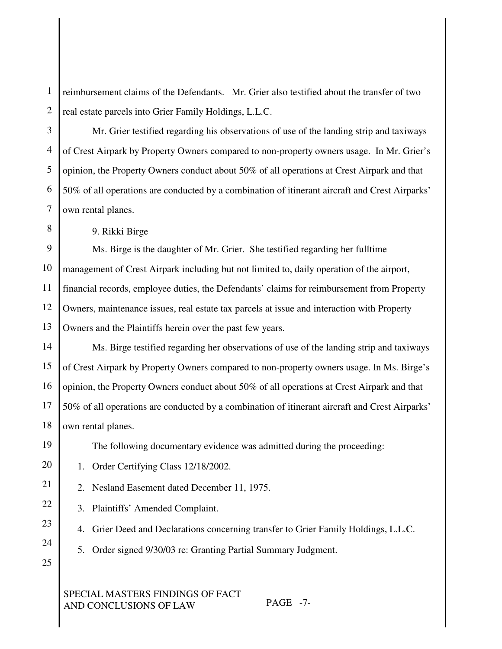1 2 reimbursement claims of the Defendants. Mr. Grier also testified about the transfer of two real estate parcels into Grier Family Holdings, L.L.C.

3 4 5 6 7 Mr. Grier testified regarding his observations of use of the landing strip and taxiways of Crest Airpark by Property Owners compared to non-property owners usage. In Mr. Grier's opinion, the Property Owners conduct about 50% of all operations at Crest Airpark and that 50% of all operations are conducted by a combination of itinerant aircraft and Crest Airparks' own rental planes.

9. Rikki Birge

9 10 11 Ms. Birge is the daughter of Mr. Grier. She testified regarding her fulltime management of Crest Airpark including but not limited to, daily operation of the airport, financial records, employee duties, the Defendants' claims for reimbursement from Property Owners, maintenance issues, real estate tax parcels at issue and interaction with Property Owners and the Plaintiffs herein over the past few years.

Ms. Birge testified regarding her observations of use of the landing strip and taxiways of Crest Airpark by Property Owners compared to non-property owners usage. In Ms. Birge's opinion, the Property Owners conduct about 50% of all operations at Crest Airpark and that 50% of all operations are conducted by a combination of itinerant aircraft and Crest Airparks' own rental planes.

The following documentary evidence was admitted during the proceeding:

1. Order Certifying Class 12/18/2002.

2. Nesland Easement dated December 11, 1975.

3. Plaintiffs' Amended Complaint.

4. Grier Deed and Declarations concerning transfer to Grier Family Holdings, L.L.C.

5. Order signed 9/30/03 re: Granting Partial Summary Judgment.

SPECIAL MASTERS FINDINGS OF FACT AND CONCLUSIONS OF LAW PAGE -7-

8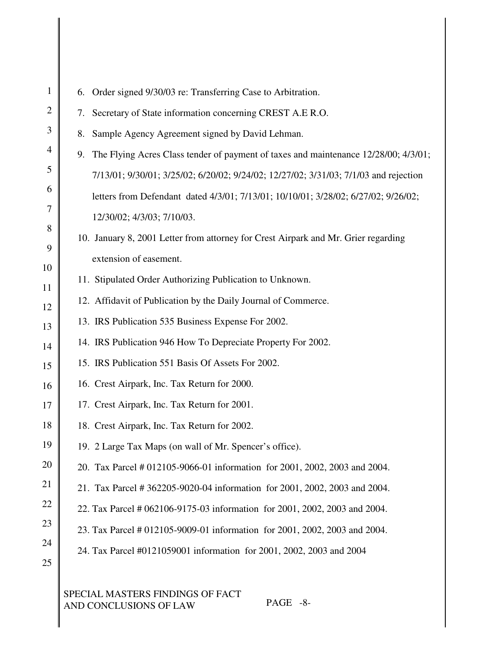| $\mathbf{1}$   | Order signed 9/30/03 re: Transferring Case to Arbitration.<br>6.                       |
|----------------|----------------------------------------------------------------------------------------|
| $\overline{c}$ | 7. Secretary of State information concerning CREST A.E R.O.                            |
| 3              | Sample Agency Agreement signed by David Lehman.<br>8.                                  |
| $\overline{4}$ | 9. The Flying Acres Class tender of payment of taxes and maintenance 12/28/00; 4/3/01; |
| 5              | 7/13/01; 9/30/01; 3/25/02; 6/20/02; 9/24/02; 12/27/02; 3/31/03; 7/1/03 and rejection   |
| 6              | letters from Defendant dated 4/3/01; 7/13/01; 10/10/01; 3/28/02; 6/27/02; 9/26/02;     |
| $\overline{7}$ | 12/30/02; 4/3/03; 7/10/03.                                                             |
| 8              | 10. January 8, 2001 Letter from attorney for Crest Airpark and Mr. Grier regarding     |
| 9              | extension of easement.                                                                 |
| 10             | 11. Stipulated Order Authorizing Publication to Unknown.                               |
| 11<br>12       | 12. Affidavit of Publication by the Daily Journal of Commerce.                         |
| 13             | 13. IRS Publication 535 Business Expense For 2002.                                     |
| 14             | 14. IRS Publication 946 How To Depreciate Property For 2002.                           |
| 15             | 15. IRS Publication 551 Basis Of Assets For 2002.                                      |
| 16             | 16. Crest Airpark, Inc. Tax Return for 2000.                                           |
| 17             | 17. Crest Airpark, Inc. Tax Return for 2001.                                           |
| 18             | 18. Crest Airpark, Inc. Tax Return for 2002.                                           |
| 19             | 19. 2 Large Tax Maps (on wall of Mr. Spencer's office).                                |
| 20             | 20. Tax Parcel # 012105-9066-01 information for 2001, 2002, 2003 and 2004.             |
| 21             | 21. Tax Parcel # 362205-9020-04 information for 2001, 2002, 2003 and 2004.             |
| 22             | 22. Tax Parcel # 062106-9175-03 information for 2001, 2002, 2003 and 2004.             |
| 23             | 23. Tax Parcel # 012105-9009-01 information for 2001, 2002, 2003 and 2004.             |
| 24             | 24. Tax Parcel #0121059001 information for 2001, 2002, 2003 and 2004                   |
| 25             |                                                                                        |
|                |                                                                                        |

SPECIAL MASTERS FINDINGS OF FACT AND CONCLUSIONS OF LAW PAGE -8-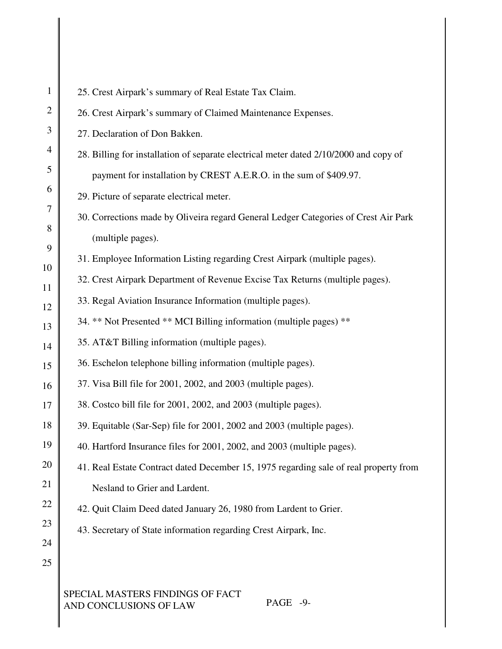25. Crest Airpark's summary of Real Estate Tax Claim.

26. Crest Airpark's summary of Claimed Maintenance Expenses.

27. Declaration of Don Bakken.

28. Billing for installation of separate electrical meter dated 2/10/2000 and copy of payment for installation by CREST A.E.R.O. in the sum of \$409.97.

29. Picture of separate electrical meter.

30. Corrections made by Oliveira regard General Ledger Categories of Crest Air Park (multiple pages).

31. Employee Information Listing regarding Crest Airpark (multiple pages).

32. Crest Airpark Department of Revenue Excise Tax Returns (multiple pages).

33. Regal Aviation Insurance Information (multiple pages).

34. \*\* Not Presented \*\* MCI Billing information (multiple pages) \*\*

- 35. AT&T Billing information (multiple pages).
- 36. Eschelon telephone billing information (multiple pages).
- 37. Visa Bill file for 2001, 2002, and 2003 (multiple pages).
- 38. Costco bill file for 2001, 2002, and 2003 (multiple pages).
- 39. Equitable (Sar-Sep) file for 2001, 2002 and 2003 (multiple pages).
- 40. Hartford Insurance files for 2001, 2002, and 2003 (multiple pages).

41. Real Estate Contract dated December 15, 1975 regarding sale of real property from Nesland to Grier and Lardent.

42. Quit Claim Deed dated January 26, 1980 from Lardent to Grier.

43. Secretary of State information regarding Crest Airpark, Inc.

# SPECIAL MASTERS FINDINGS OF FACT AND CONCLUSIONS OF LAW PAGE -9-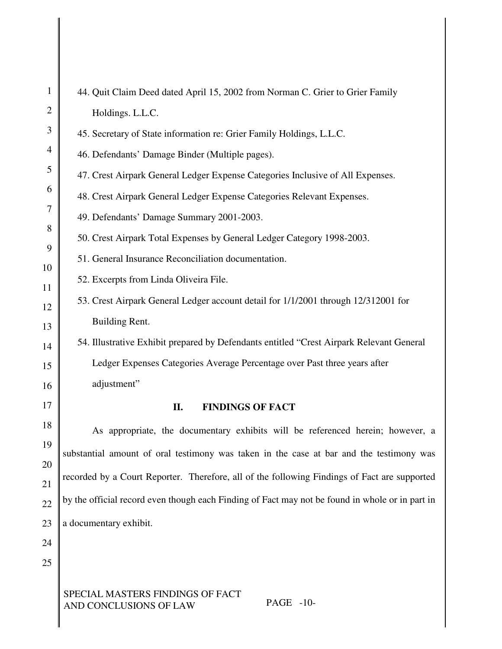| $\mathbf{1}$   | 44. Quit Claim Deed dated April 15, 2002 from Norman C. Grier to Grier Family                   |
|----------------|-------------------------------------------------------------------------------------------------|
| $\mathfrak{2}$ | Holdings. L.L.C.                                                                                |
| 3              | 45. Secretary of State information re: Grier Family Holdings, L.L.C.                            |
| 4              | 46. Defendants' Damage Binder (Multiple pages).                                                 |
| 5              | 47. Crest Airpark General Ledger Expense Categories Inclusive of All Expenses.                  |
| 6              | 48. Crest Airpark General Ledger Expense Categories Relevant Expenses.                          |
| $\tau$         | 49. Defendants' Damage Summary 2001-2003.                                                       |
| 8<br>9         | 50. Crest Airpark Total Expenses by General Ledger Category 1998-2003.                          |
| 10             | 51. General Insurance Reconciliation documentation.                                             |
| 11             | 52. Excerpts from Linda Oliveira File.                                                          |
| 12             | 53. Crest Airpark General Ledger account detail for 1/1/2001 through 12/312001 for              |
| 13             | Building Rent.                                                                                  |
| 14             | 54. Illustrative Exhibit prepared by Defendants entitled "Crest Airpark Relevant General        |
| 15             | Ledger Expenses Categories Average Percentage over Past three years after                       |
| 16             | adjustment"                                                                                     |
| 17             | <b>FINDINGS OF FACT</b><br>II.                                                                  |
| 18             | As appropriate, the documentary exhibits will be referenced herein; however, a                  |
| 19             | substantial amount of oral testimony was taken in the case at bar and the testimony was         |
| 20             | recorded by a Court Reporter. Therefore, all of the following Findings of Fact are supported    |
| 21             | by the official record even though each Finding of Fact may not be found in whole or in part in |
| 22             |                                                                                                 |
| 23             | a documentary exhibit.                                                                          |
| 24<br>25       |                                                                                                 |
|                |                                                                                                 |
|                | SPECIAL MASTERS FINDINGS OF FACT                                                                |

AND CONCLUSIONS OF LAW PAGE -10-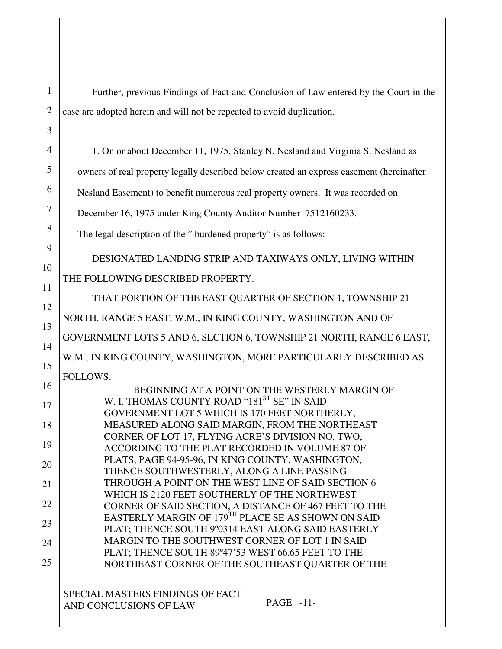Further, previous Findings of Fact and Conclusion of Law entered by the Court in the case are adopted herein and will not be repeated to avoid duplication. 1. On or about December 11, 1975, Stanley N. Nesland and Virginia S. Nesland as owners of real property legally described below created an express easement (hereinafter Nesland Easement) to benefit numerous real property owners. It was recorded on December 16, 1975 under King County Auditor Number 7512160233. The legal description of the " burdened property" is as follows: DESIGNATED LANDING STRIP AND TAXIWAYS ONLY, LIVING WITHIN THE FOLLOWING DESCRIBED PROPERTY. THAT PORTION OF THE EAST QUARTER OF SECTION 1, TOWNSHIP 21 NORTH, RANGE 5 EAST, W.M., IN KING COUNTY, WASHINGTON AND OF GOVERNMENT LOTS 5 AND 6, SECTION 6, TOWNSHIP 21 NORTH, RANGE 6 EAST, W.M., IN KING COUNTY, WASHINGTON, MORE PARTICULARLY DESCRIBED AS FOLLOWS: BEGINNING AT A POINT ON THE WESTERLY MARGIN OF W. I. THOMAS COUNTY ROAD ''181<sup>ST</sup> SE'' IN SAID GOVERNMENT LOT 5 WHICH IS 170 FEET NORTHERLY, MEASURED ALONG SAID MARGIN, FROM THE NORTHEAST CORNER OF LOT 17, FLYING ACRE'S DIVISION NO. TWO, ACCORDING TO THE PLAT RECORDED IN VOLUME 87 OF PLATS, PAGE 94-95-96, IN KING COUNTY, WASHINGTON, THENCE SOUTHWESTERLY, ALONG A LINE PASSING THROUGH A POINT ON THE WEST LINE OF SAID SECTION 6 WHICH IS 2120 FEET SOUTHERLY OF THE NORTHWEST CORNER OF SAID SECTION, A DISTANCE OF 467 FEET TO THE EASTERLY MARGIN OF 179<sup>th</sup> PLACE SE AS SHOWN ON SAID PLAT; THENCE SOUTH 9º0314 EAST ALONG SAID EASTERLY MARGIN TO THE SOUTHWEST CORNER OF LOT 1 IN SAID PLAT; THENCE SOUTH 89º47'53 WEST 66.65 FEET TO THE NORTHEAST CORNER OF THE SOUTHEAST QUARTER OF THE

SPECIAL MASTERS FINDINGS OF FACT AND CONCLUSIONS OF LAW PAGE -11-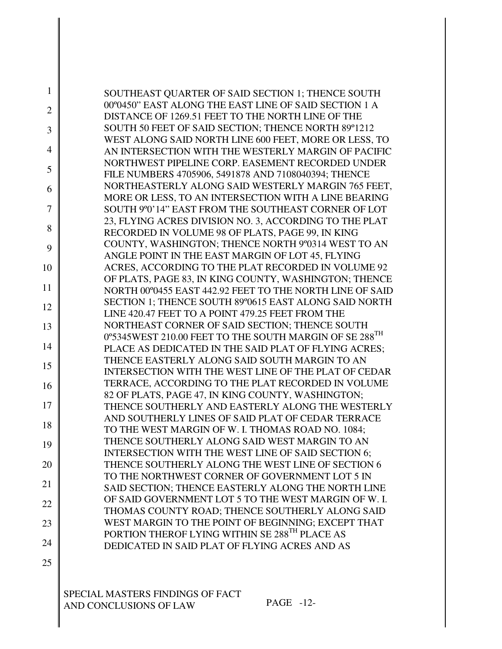| 1              | SOUTHEAST QUARTER OF SAID SECTION 1; THENCE SOUTH<br>00°0450" EAST ALONG THE EAST LINE OF SAID SECTION 1 A |
|----------------|------------------------------------------------------------------------------------------------------------|
| $\overline{2}$ | DISTANCE OF 1269.51 FEET TO THE NORTH LINE OF THE                                                          |
| 3              | SOUTH 50 FEET OF SAID SECTION; THENCE NORTH 89°1212                                                        |
| $\overline{4}$ | WEST ALONG SAID NORTH LINE 600 FEET, MORE OR LESS, TO                                                      |
|                | AN INTERSECTION WITH THE WESTERLY MARGIN OF PACIFIC<br>NORTHWEST PIPELINE CORP. EASEMENT RECORDED UNDER    |
| 5              | FILE NUMBERS 4705906, 5491878 AND 7108040394; THENCE                                                       |
| 6              | NORTHEASTERLY ALONG SAID WESTERLY MARGIN 765 FEET,                                                         |
|                | MORE OR LESS, TO AN INTERSECTION WITH A LINE BEARING                                                       |
| 7              | SOUTH 9°0'14" EAST FROM THE SOUTHEAST CORNER OF LOT                                                        |
| 8              | 23, FLYING ACRES DIVISION NO. 3, ACCORDING TO THE PLAT                                                     |
|                | RECORDED IN VOLUME 98 OF PLATS, PAGE 99, IN KING                                                           |
| 9              | COUNTY, WASHINGTON; THENCE NORTH 9°0314 WEST TO AN                                                         |
| 10             | ANGLE POINT IN THE EAST MARGIN OF LOT 45, FLYING<br>ACRES, ACCORDING TO THE PLAT RECORDED IN VOLUME 92     |
|                | OF PLATS, PAGE 83, IN KING COUNTY, WASHINGTON; THENCE                                                      |
| 11             | NORTH 00°0455 EAST 442.92 FEET TO THE NORTH LINE OF SAID                                                   |
|                | SECTION 1; THENCE SOUTH 89°0615 EAST ALONG SAID NORTH                                                      |
| 12             | LINE 420.47 FEET TO A POINT 479.25 FEET FROM THE                                                           |
| 13             | NORTHEAST CORNER OF SAID SECTION; THENCE SOUTH                                                             |
|                | 0°5345WEST 210.00 FEET TO THE SOUTH MARGIN OF SE 288 <sup>TH</sup>                                         |
| 14             | PLACE AS DEDICATED IN THE SAID PLAT OF FLYING ACRES;                                                       |
| 15             | THENCE EASTERLY ALONG SAID SOUTH MARGIN TO AN                                                              |
|                | INTERSECTION WITH THE WEST LINE OF THE PLAT OF CEDAR                                                       |
| 16             | TERRACE, ACCORDING TO THE PLAT RECORDED IN VOLUME                                                          |
|                | 82 OF PLATS, PAGE 47, IN KING COUNTY, WASHINGTON;                                                          |
| 17             | THENCE SOUTHERLY AND EASTERLY ALONG THE WESTERLY                                                           |
| 18             | AND SOUTHERLY LINES OF SAID PLAT OF CEDAR TERRACE                                                          |
|                | TO THE WEST MARGIN OF W. I. THOMAS ROAD NO. 1084;<br>THENCE SOUTHERLY ALONG SAID WEST MARGIN TO AN         |
| 19             | INTERSECTION WITH THE WEST LINE OF SAID SECTION 6;                                                         |
| 20             | THENCE SOUTHERLY ALONG THE WEST LINE OF SECTION 6                                                          |
|                | TO THE NORTHWEST CORNER OF GOVERNMENT LOT 5 IN                                                             |
| 21             | SAID SECTION; THENCE EASTERLY ALONG THE NORTH LINE                                                         |
|                | OF SAID GOVERNMENT LOT 5 TO THE WEST MARGIN OF W. I.                                                       |
| 22             | THOMAS COUNTY ROAD; THENCE SOUTHERLY ALONG SAID                                                            |
| 23             | WEST MARGIN TO THE POINT OF BEGINNING; EXCEPT THAT                                                         |
|                | PORTION THEROF LYING WITHIN SE 288TH PLACE AS                                                              |
| 24             | DEDICATED IN SAID PLAT OF FLYING ACRES AND AS                                                              |
|                |                                                                                                            |

SPECIAL MASTERS FINDINGS OF FACT AND CONCLUSIONS OF LAW PAGE -12-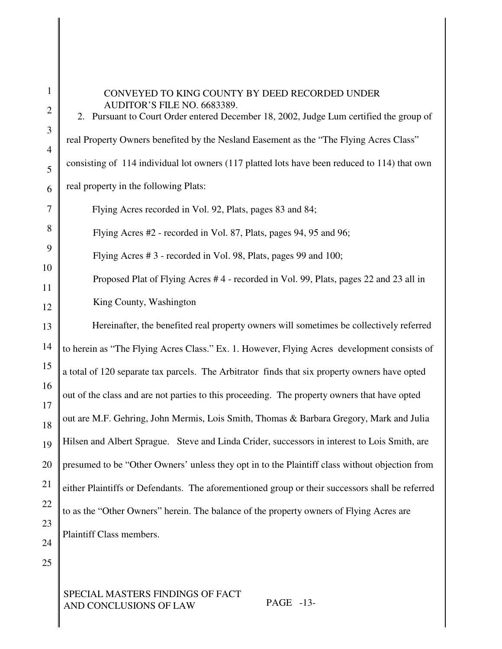### CONVEYED TO KING COUNTY BY DEED RECORDED UNDER AUDITOR'S FILE NO. 6683389.

2. Pursuant to Court Order entered December 18, 2002, Judge Lum certified the group of real Property Owners benefited by the Nesland Easement as the "The Flying Acres Class" consisting of 114 individual lot owners (117 platted lots have been reduced to 114) that own real property in the following Plats:

Flying Acres recorded in Vol. 92, Plats, pages 83 and 84;

Flying Acres #2 - recorded in Vol. 87, Plats, pages 94, 95 and 96;

Flying Acres # 3 - recorded in Vol. 98, Plats, pages 99 and 100;

Proposed Plat of Flying Acres # 4 - recorded in Vol. 99, Plats, pages 22 and 23 all in King County, Washington

13 14 15 16 17 18 19 20 21 22 23 24 Hereinafter, the benefited real property owners will sometimes be collectively referred to herein as "The Flying Acres Class." Ex. 1. However, Flying Acres development consists of a total of 120 separate tax parcels. The Arbitrator finds that six property owners have opted out of the class and are not parties to this proceeding. The property owners that have opted out are M.F. Gehring, John Mermis, Lois Smith, Thomas & Barbara Gregory, Mark and Julia Hilsen and Albert Sprague. Steve and Linda Crider, successors in interest to Lois Smith, are presumed to be "Other Owners' unless they opt in to the Plaintiff class without objection from either Plaintiffs or Defendants. The aforementioned group or their successors shall be referred to as the "Other Owners" herein. The balance of the property owners of Flying Acres are Plaintiff Class members.

25

1

2

3

4

5

6

7

8

9

10

11

12

SPECIAL MASTERS FINDINGS OF FACT AND CONCLUSIONS OF LAW PAGE -13-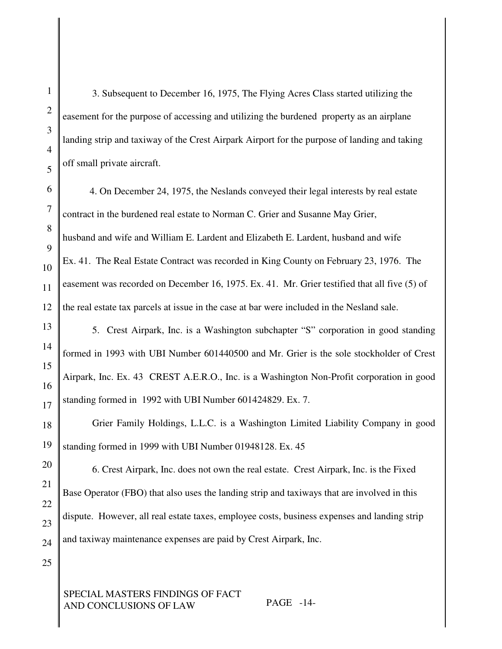3. Subsequent to December 16, 1975, The Flying Acres Class started utilizing the easement for the purpose of accessing and utilizing the burdened property as an airplane landing strip and taxiway of the Crest Airpark Airport for the purpose of landing and taking off small private aircraft.

4. On December 24, 1975, the Neslands conveyed their legal interests by real estate contract in the burdened real estate to Norman C. Grier and Susanne May Grier, husband and wife and William E. Lardent and Elizabeth E. Lardent, husband and wife Ex. 41. The Real Estate Contract was recorded in King County on February 23, 1976. The easement was recorded on December 16, 1975. Ex. 41. Mr. Grier testified that all five (5) of the real estate tax parcels at issue in the case at bar were included in the Nesland sale.

5. Crest Airpark, Inc. is a Washington subchapter "S" corporation in good standing formed in 1993 with UBI Number 601440500 and Mr. Grier is the sole stockholder of Crest Airpark, Inc. Ex. 43 CREST A.E.R.O., Inc. is a Washington Non-Profit corporation in good standing formed in 1992 with UBI Number 601424829. Ex. 7.

Grier Family Holdings, L.L.C. is a Washington Limited Liability Company in good standing formed in 1999 with UBI Number 01948128. Ex. 45

6. Crest Airpark, Inc. does not own the real estate. Crest Airpark, Inc. is the Fixed Base Operator (FBO) that also uses the landing strip and taxiways that are involved in this dispute. However, all real estate taxes, employee costs, business expenses and landing strip and taxiway maintenance expenses are paid by Crest Airpark, Inc.

SPECIAL MASTERS FINDINGS OF FACT AND CONCLUSIONS OF LAW PAGE -14-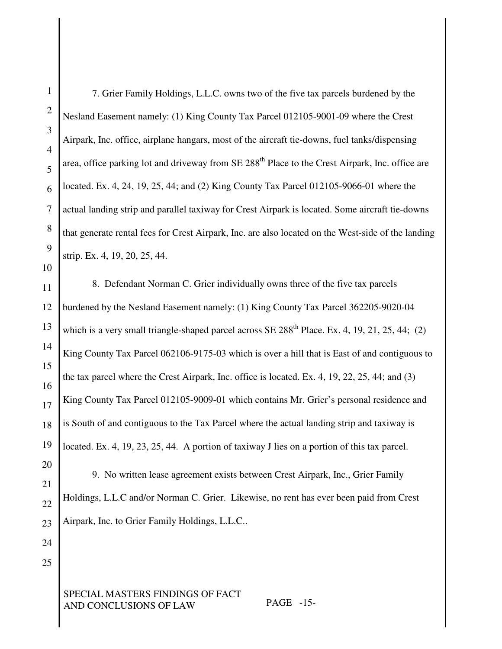1 2 3 4 5 6 7 8 9 10 11 12 13 14 15 16 17 18 19 20 21 22 23 24 25 SPECIAL MASTERS FINDINGS OF FACT AND CONCLUSIONS OF LAW PAGE -15- 7. Grier Family Holdings, L.L.C. owns two of the five tax parcels burdened by the Nesland Easement namely: (1) King County Tax Parcel 012105-9001-09 where the Crest Airpark, Inc. office, airplane hangars, most of the aircraft tie-downs, fuel tanks/dispensing area, office parking lot and driveway from SE 288<sup>th</sup> Place to the Crest Airpark, Inc. office are located. Ex. 4, 24, 19, 25, 44; and (2) King County Tax Parcel 012105-9066-01 where the actual landing strip and parallel taxiway for Crest Airpark is located. Some aircraft tie-downs that generate rental fees for Crest Airpark, Inc. are also located on the West-side of the landing strip. Ex. 4, 19, 20, 25, 44. 8. Defendant Norman C. Grier individually owns three of the five tax parcels burdened by the Nesland Easement namely: (1) King County Tax Parcel 362205-9020-04 which is a very small triangle-shaped parcel across SE 288<sup>th</sup> Place. Ex. 4, 19, 21, 25, 44; (2) King County Tax Parcel 062106-9175-03 which is over a hill that is East of and contiguous to the tax parcel where the Crest Airpark, Inc. office is located. Ex. 4, 19, 22, 25, 44; and (3) King County Tax Parcel 012105-9009-01 which contains Mr. Grier's personal residence and is South of and contiguous to the Tax Parcel where the actual landing strip and taxiway is located. Ex. 4, 19, 23, 25, 44. A portion of taxiway J lies on a portion of this tax parcel. 9. No written lease agreement exists between Crest Airpark, Inc., Grier Family Holdings, L.L.C and/or Norman C. Grier. Likewise, no rent has ever been paid from Crest Airpark, Inc. to Grier Family Holdings, L.L.C..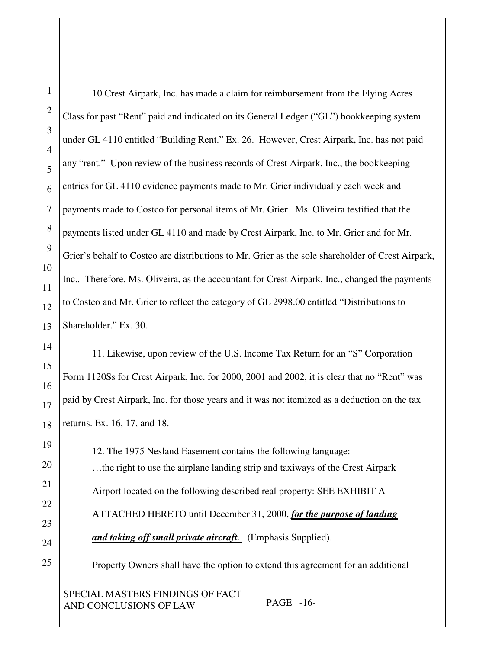| $\mathbf{1}$   | 10. Crest Airpark, Inc. has made a claim for reimbursement from the Flying Acres                  |
|----------------|---------------------------------------------------------------------------------------------------|
| $\overline{c}$ | Class for past "Rent" paid and indicated on its General Ledger ("GL") bookkeeping system          |
| 3              | under GL 4110 entitled "Building Rent." Ex. 26. However, Crest Airpark, Inc. has not paid         |
| $\overline{4}$ |                                                                                                   |
| 5              | any "rent." Upon review of the business records of Crest Airpark, Inc., the bookkeeping           |
| 6              | entries for GL 4110 evidence payments made to Mr. Grier individually each week and                |
| 7              | payments made to Costco for personal items of Mr. Grier. Ms. Oliveira testified that the          |
| 8              | payments listed under GL 4110 and made by Crest Airpark, Inc. to Mr. Grier and for Mr.            |
| 9              | Grier's behalf to Costco are distributions to Mr. Grier as the sole shareholder of Crest Airpark, |
| 10             |                                                                                                   |
| 11             | Inc Therefore, Ms. Oliveira, as the accountant for Crest Airpark, Inc., changed the payments      |
| 12             | to Costco and Mr. Grier to reflect the category of GL 2998.00 entitled "Distributions to          |
| 13             | Shareholder." Ex. 30.                                                                             |
| 14             | 11. Likewise, upon review of the U.S. Income Tax Return for an "S" Corporation                    |
| 15             |                                                                                                   |
| 16             | Form 1120Ss for Crest Airpark, Inc. for 2000, 2001 and 2002, it is clear that no "Rent" was       |
| 17             | paid by Crest Airpark, Inc. for those years and it was not itemized as a deduction on the tax     |
| 18             | returns. Ex. 16, 17, and 18.                                                                      |
| 19             | 12. The 1975 Nesland Easement contains the following language:                                    |
| 20             | the right to use the airplane landing strip and taxiways of the Crest Airpark                     |
| 21             | Airport located on the following described real property: SEE EXHIBIT A                           |
| 22             |                                                                                                   |
| 23             | ATTACHED HERETO until December 31, 2000, for the purpose of landing                               |
| 24             | and taking off small private aircraft. (Emphasis Supplied).                                       |
| 25             | Property Owners shall have the option to extend this agreement for an additional                  |
|                | SPECIAL MASTERS FINDINGS OF FACT                                                                  |

AND CONCLUSIONS OF LAW PAGE -16-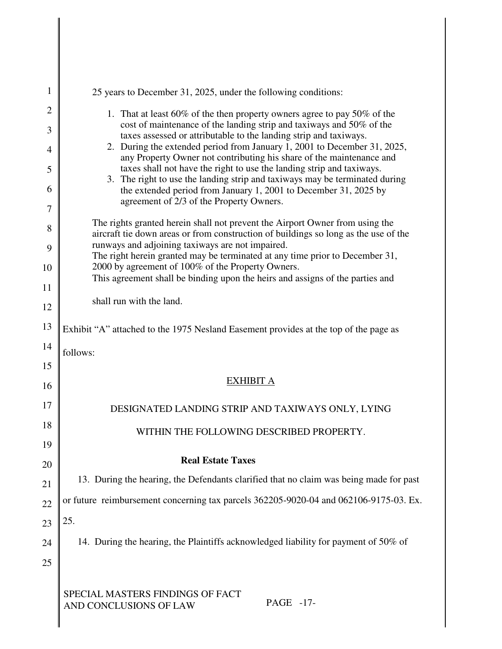| 1              | 25 years to December 31, 2025, under the following conditions:                                                                                                      |  |  |  |
|----------------|---------------------------------------------------------------------------------------------------------------------------------------------------------------------|--|--|--|
| $\overline{2}$ | 1. That at least 60% of the then property owners agree to pay 50% of the                                                                                            |  |  |  |
| 3              | cost of maintenance of the landing strip and taxiways and 50% of the<br>taxes assessed or attributable to the landing strip and taxiways.                           |  |  |  |
| 4              | 2. During the extended period from January 1, 2001 to December 31, 2025,<br>any Property Owner not contributing his share of the maintenance and                    |  |  |  |
| 5<br>6         | taxes shall not have the right to use the landing strip and taxiways.<br>3. The right to use the landing strip and taxiways may be terminated during                |  |  |  |
| $\overline{7}$ | the extended period from January 1, 2001 to December 31, 2025 by<br>agreement of 2/3 of the Property Owners.                                                        |  |  |  |
| 8              | The rights granted herein shall not prevent the Airport Owner from using the<br>aircraft tie down areas or from construction of buildings so long as the use of the |  |  |  |
| 9              | runways and adjoining taxiways are not impaired.<br>The right herein granted may be terminated at any time prior to December 31,                                    |  |  |  |
| 10             | 2000 by agreement of 100% of the Property Owners.<br>This agreement shall be binding upon the heirs and assigns of the parties and                                  |  |  |  |
| 11             |                                                                                                                                                                     |  |  |  |
| 12             | shall run with the land.                                                                                                                                            |  |  |  |
| 13             | Exhibit "A" attached to the 1975 Nesland Easement provides at the top of the page as                                                                                |  |  |  |
| 14             | follows:                                                                                                                                                            |  |  |  |
| 15             | EXHIBIT A                                                                                                                                                           |  |  |  |
| 16             |                                                                                                                                                                     |  |  |  |
| 17             | DESIGNATED LANDING STRIP AND TAXIWAYS ONLY, LYING                                                                                                                   |  |  |  |
| 18             | WITHIN THE FOLLOWING DESCRIBED PROPERTY.                                                                                                                            |  |  |  |
| 19             | <b>Real Estate Taxes</b>                                                                                                                                            |  |  |  |
| 20             | 13. During the hearing, the Defendants clarified that no claim was being made for past                                                                              |  |  |  |
| 21             | or future reimbursement concerning tax parcels 362205-9020-04 and 062106-9175-03. Ex.                                                                               |  |  |  |
| 22             | 25.                                                                                                                                                                 |  |  |  |
| 23             |                                                                                                                                                                     |  |  |  |
| 24             | 14. During the hearing, the Plaintiffs acknowledged liability for payment of 50% of                                                                                 |  |  |  |
| 25             |                                                                                                                                                                     |  |  |  |
|                | SPECIAL MASTERS FINDINGS OF FACT<br>PAGE -17-<br>AND CONCLUSIONS OF LAW                                                                                             |  |  |  |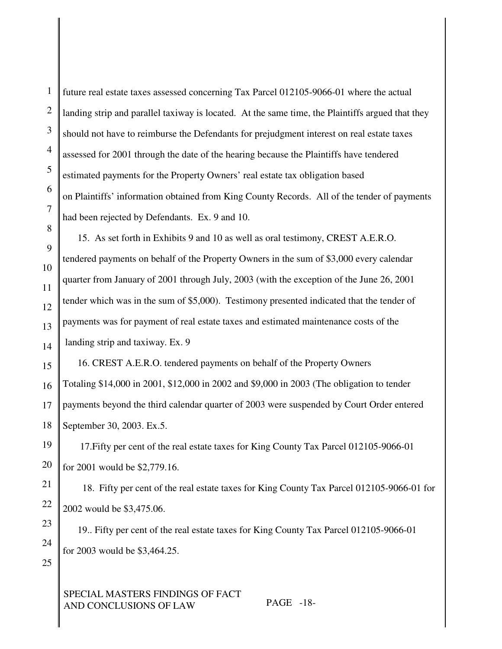1 2 3 4 5 6 7 8 9 10 11 12 13 14 15 16 17 18 19 20 21 22 23 24 25 SPECIAL MASTERS FINDINGS OF FACT AND CONCLUSIONS OF LAW PAGE -18 future real estate taxes assessed concerning Tax Parcel 012105-9066-01 where the actual landing strip and parallel taxiway is located. At the same time, the Plaintiffs argued that they should not have to reimburse the Defendants for prejudgment interest on real estate taxes assessed for 2001 through the date of the hearing because the Plaintiffs have tendered estimated payments for the Property Owners' real estate tax obligation based on Plaintiffs' information obtained from King County Records. All of the tender of payments had been rejected by Defendants. Ex. 9 and 10. 15. As set forth in Exhibits 9 and 10 as well as oral testimony, CREST A.E.R.O. tendered payments on behalf of the Property Owners in the sum of \$3,000 every calendar quarter from January of 2001 through July, 2003 (with the exception of the June 26, 2001 tender which was in the sum of \$5,000). Testimony presented indicated that the tender of payments was for payment of real estate taxes and estimated maintenance costs of the landing strip and taxiway. Ex. 9 16. CREST A.E.R.O. tendered payments on behalf of the Property Owners Totaling \$14,000 in 2001, \$12,000 in 2002 and \$9,000 in 2003 (The obligation to tender payments beyond the third calendar quarter of 2003 were suspended by Court Order entered September 30, 2003. Ex.5. 17.Fifty per cent of the real estate taxes for King County Tax Parcel 012105-9066-01 for 2001 would be \$2,779.16. 18. Fifty per cent of the real estate taxes for King County Tax Parcel 012105-9066-01 for 2002 would be \$3,475.06. 19.. Fifty per cent of the real estate taxes for King County Tax Parcel 012105-9066-01 for 2003 would be \$3,464.25.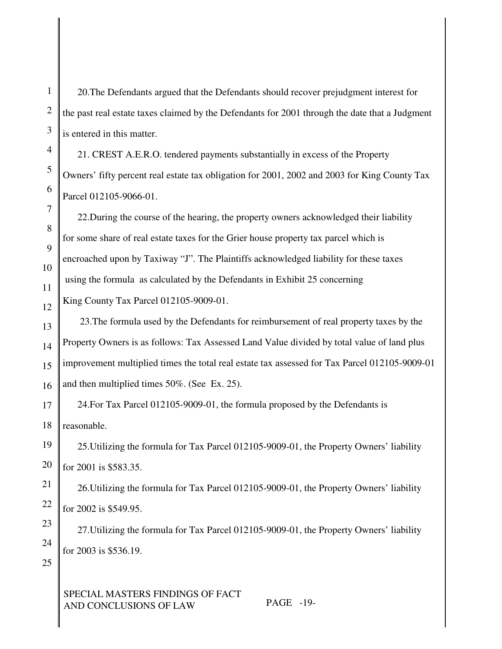1

2

3

20.The Defendants argued that the Defendants should recover prejudgment interest for the past real estate taxes claimed by the Defendants for 2001 through the date that a Judgment is entered in this matter.

21. CREST A.E.R.O. tendered payments substantially in excess of the Property Owners' fifty percent real estate tax obligation for 2001, 2002 and 2003 for King County Tax Parcel 012105-9066-01.

22.During the course of the hearing, the property owners acknowledged their liability for some share of real estate taxes for the Grier house property tax parcel which is encroached upon by Taxiway "J". The Plaintiffs acknowledged liability for these taxes using the formula as calculated by the Defendants in Exhibit 25 concerning King County Tax Parcel 012105-9009-01.

13 14 15 16 23.The formula used by the Defendants for reimbursement of real property taxes by the Property Owners is as follows: Tax Assessed Land Value divided by total value of land plus improvement multiplied times the total real estate tax assessed for Tax Parcel 012105-9009-01 and then multiplied times 50%. (See Ex. 25).

17 18 24.For Tax Parcel 012105-9009-01, the formula proposed by the Defendants is reasonable.

25.Utilizing the formula for Tax Parcel 012105-9009-01, the Property Owners' liability for 2001 is \$583.35.

26.Utilizing the formula for Tax Parcel 012105-9009-01, the Property Owners' liability for 2002 is \$549.95.

27.Utilizing the formula for Tax Parcel 012105-9009-01, the Property Owners' liability for 2003 is \$536.19.

25

23

24

# SPECIAL MASTERS FINDINGS OF FACT AND CONCLUSIONS OF LAW PAGE -19-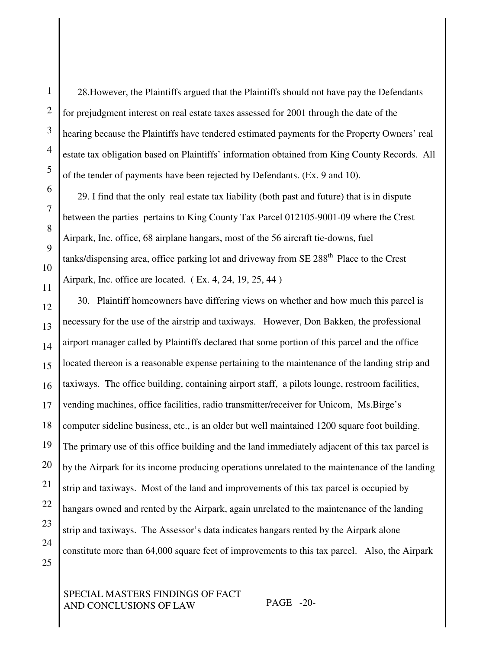2

3

4

28.However, the Plaintiffs argued that the Plaintiffs should not have pay the Defendants for prejudgment interest on real estate taxes assessed for 2001 through the date of the hearing because the Plaintiffs have tendered estimated payments for the Property Owners' real estate tax obligation based on Plaintiffs' information obtained from King County Records. All of the tender of payments have been rejected by Defendants. (Ex. 9 and 10).

29. I find that the only real estate tax liability (both past and future) that is in dispute between the parties pertains to King County Tax Parcel 012105-9001-09 where the Crest Airpark, Inc. office, 68 airplane hangars, most of the 56 aircraft tie-downs, fuel tanks/dispensing area, office parking lot and driveway from SE 288<sup>th</sup> Place to the Crest Airpark, Inc. office are located. ( Ex. 4, 24, 19, 25, 44 )

30. Plaintiff homeowners have differing views on whether and how much this parcel is necessary for the use of the airstrip and taxiways. However, Don Bakken, the professional airport manager called by Plaintiffs declared that some portion of this parcel and the office located thereon is a reasonable expense pertaining to the maintenance of the landing strip and taxiways. The office building, containing airport staff, a pilots lounge, restroom facilities, vending machines, office facilities, radio transmitter/receiver for Unicom, Ms.Birge's computer sideline business, etc., is an older but well maintained 1200 square foot building. The primary use of this office building and the land immediately adjacent of this tax parcel is by the Airpark for its income producing operations unrelated to the maintenance of the landing strip and taxiways. Most of the land and improvements of this tax parcel is occupied by hangars owned and rented by the Airpark, again unrelated to the maintenance of the landing strip and taxiways. The Assessor's data indicates hangars rented by the Airpark alone constitute more than 64,000 square feet of improvements to this tax parcel. Also, the Airpark

SPECIAL MASTERS FINDINGS OF FACT AND CONCLUSIONS OF LAW PAGE -20-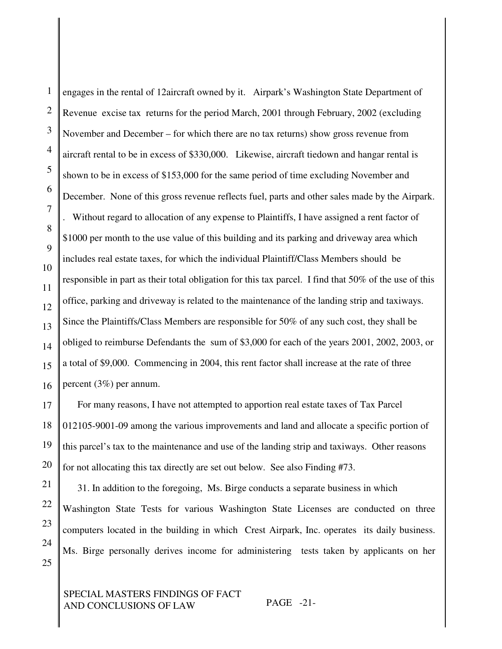1 2 3 4 5 6 7 8 9 10 11 12 13 14 15 16 17 18 19 20 21 22 engages in the rental of 12aircraft owned by it. Airpark's Washington State Department of Revenue excise tax returns for the period March, 2001 through February, 2002 (excluding November and December – for which there are no tax returns) show gross revenue from aircraft rental to be in excess of \$330,000. Likewise, aircraft tiedown and hangar rental is shown to be in excess of \$153,000 for the same period of time excluding November and December. None of this gross revenue reflects fuel, parts and other sales made by the Airpark. . Without regard to allocation of any expense to Plaintiffs, I have assigned a rent factor of \$1000 per month to the use value of this building and its parking and driveway area which includes real estate taxes, for which the individual Plaintiff/Class Members should be responsible in part as their total obligation for this tax parcel. I find that 50% of the use of this office, parking and driveway is related to the maintenance of the landing strip and taxiways. Since the Plaintiffs/Class Members are responsible for 50% of any such cost, they shall be obliged to reimburse Defendants the sum of \$3,000 for each of the years 2001, 2002, 2003, or a total of \$9,000. Commencing in 2004, this rent factor shall increase at the rate of three percent (3%) per annum. For many reasons, I have not attempted to apportion real estate taxes of Tax Parcel 012105-9001-09 among the various improvements and land and allocate a specific portion of this parcel's tax to the maintenance and use of the landing strip and taxiways. Other reasons for not allocating this tax directly are set out below. See also Finding #73.

23 24 31. In addition to the foregoing, Ms. Birge conducts a separate business in which Washington State Tests for various Washington State Licenses are conducted on three computers located in the building in which Crest Airpark, Inc. operates its daily business. Ms. Birge personally derives income for administering tests taken by applicants on her

SPECIAL MASTERS FINDINGS OF FACT AND CONCLUSIONS OF LAW PAGE -21-

25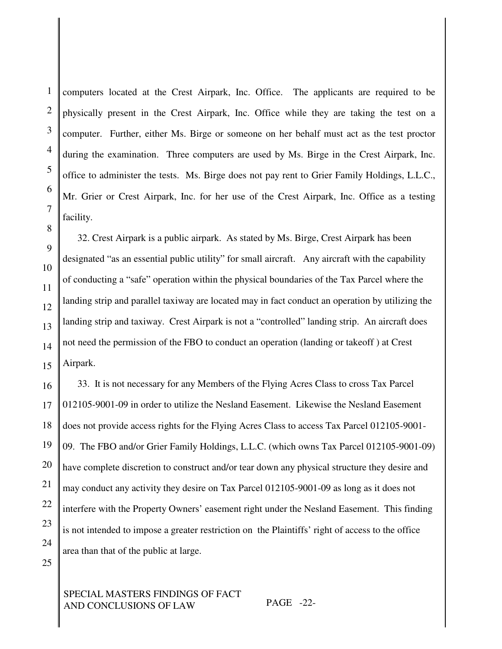computers located at the Crest Airpark, Inc. Office. The applicants are required to be physically present in the Crest Airpark, Inc. Office while they are taking the test on a computer. Further, either Ms. Birge or someone on her behalf must act as the test proctor during the examination. Three computers are used by Ms. Birge in the Crest Airpark, Inc. office to administer the tests. Ms. Birge does not pay rent to Grier Family Holdings, L.L.C., Mr. Grier or Crest Airpark, Inc. for her use of the Crest Airpark, Inc. Office as a testing facility.

32. Crest Airpark is a public airpark. As stated by Ms. Birge, Crest Airpark has been designated "as an essential public utility" for small aircraft. Any aircraft with the capability of conducting a "safe" operation within the physical boundaries of the Tax Parcel where the landing strip and parallel taxiway are located may in fact conduct an operation by utilizing the landing strip and taxiway. Crest Airpark is not a "controlled" landing strip. An aircraft does not need the permission of the FBO to conduct an operation (landing or takeoff ) at Crest Airpark.

33. It is not necessary for any Members of the Flying Acres Class to cross Tax Parcel 012105-9001-09 in order to utilize the Nesland Easement. Likewise the Nesland Easement does not provide access rights for the Flying Acres Class to access Tax Parcel 012105-9001- 09. The FBO and/or Grier Family Holdings, L.L.C. (which owns Tax Parcel 012105-9001-09) have complete discretion to construct and/or tear down any physical structure they desire and may conduct any activity they desire on Tax Parcel 012105-9001-09 as long as it does not interfere with the Property Owners' easement right under the Nesland Easement. This finding is not intended to impose a greater restriction on the Plaintiffs' right of access to the office area than that of the public at large.

# SPECIAL MASTERS FINDINGS OF FACT AND CONCLUSIONS OF LAW PAGE -22-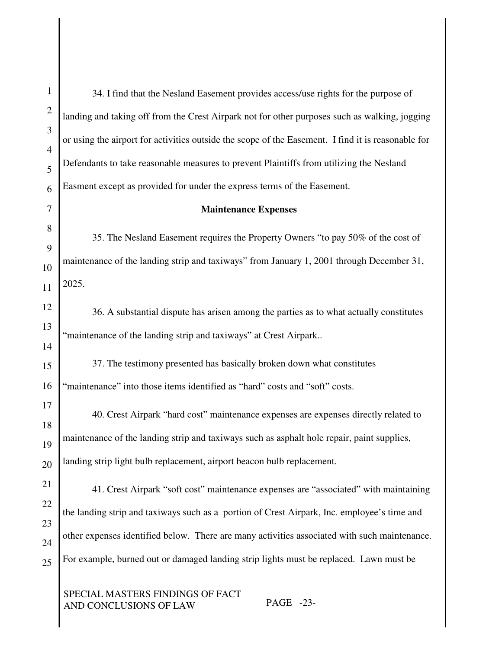34. I find that the Nesland Easement provides access/use rights for the purpose of landing and taking off from the Crest Airpark not for other purposes such as walking, jogging or using the airport for activities outside the scope of the Easement. I find it is reasonable for Defendants to take reasonable measures to prevent Plaintiffs from utilizing the Nesland Easment except as provided for under the express terms of the Easement.

#### **Maintenance Expenses**

35. The Nesland Easement requires the Property Owners "to pay 50% of the cost of maintenance of the landing strip and taxiways" from January 1, 2001 through December 31, 2025.

36. A substantial dispute has arisen among the parties as to what actually constitutes "maintenance of the landing strip and taxiways" at Crest Airpark..

37. The testimony presented has basically broken down what constitutes "maintenance" into those items identified as "hard" costs and "soft" costs.

40. Crest Airpark "hard cost" maintenance expenses are expenses directly related to maintenance of the landing strip and taxiways such as asphalt hole repair, paint supplies, landing strip light bulb replacement, airport beacon bulb replacement.

41. Crest Airpark "soft cost" maintenance expenses are "associated" with maintaining the landing strip and taxiways such as a portion of Crest Airpark, Inc. employee's time and other expenses identified below. There are many activities associated with such maintenance. For example, burned out or damaged landing strip lights must be replaced. Lawn must be

SPECIAL MASTERS FINDINGS OF FACT AND CONCLUSIONS OF LAW PAGE -23-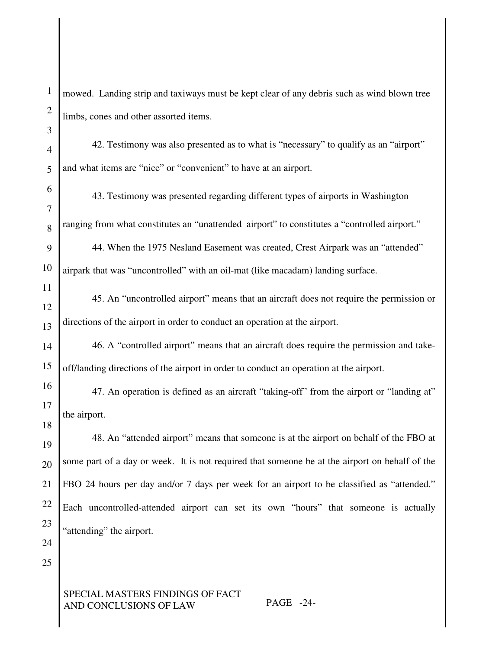1 2 3 4 5 6 7 8 9 10 11 12 13 14 15 16 17 18 19 20 21 22 23 24 25 mowed. Landing strip and taxiways must be kept clear of any debris such as wind blown tree limbs, cones and other assorted items. 42. Testimony was also presented as to what is "necessary" to qualify as an "airport" and what items are "nice" or "convenient" to have at an airport. 43. Testimony was presented regarding different types of airports in Washington ranging from what constitutes an "unattended airport" to constitutes a "controlled airport." 44. When the 1975 Nesland Easement was created, Crest Airpark was an "attended" airpark that was "uncontrolled" with an oil-mat (like macadam) landing surface. 45. An "uncontrolled airport" means that an aircraft does not require the permission or directions of the airport in order to conduct an operation at the airport. 46. A "controlled airport" means that an aircraft does require the permission and takeoff/landing directions of the airport in order to conduct an operation at the airport. 47. An operation is defined as an aircraft "taking-off" from the airport or "landing at" the airport. 48. An "attended airport" means that someone is at the airport on behalf of the FBO at some part of a day or week. It is not required that someone be at the airport on behalf of the FBO 24 hours per day and/or 7 days per week for an airport to be classified as "attended." Each uncontrolled-attended airport can set its own "hours" that someone is actually "attending" the airport.

## SPECIAL MASTERS FINDINGS OF FACT AND CONCLUSIONS OF LAW PAGE -24-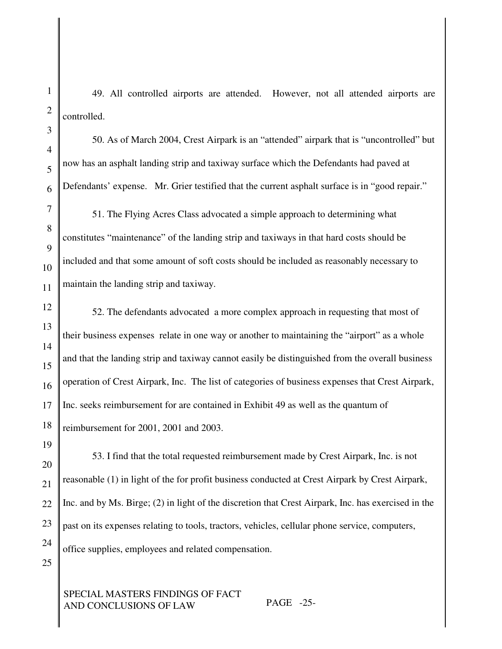49. All controlled airports are attended. However, not all attended airports are controlled.

50. As of March 2004, Crest Airpark is an "attended" airpark that is "uncontrolled" but now has an asphalt landing strip and taxiway surface which the Defendants had paved at Defendants' expense. Mr. Grier testified that the current asphalt surface is in "good repair."

51. The Flying Acres Class advocated a simple approach to determining what constitutes "maintenance" of the landing strip and taxiways in that hard costs should be included and that some amount of soft costs should be included as reasonably necessary to maintain the landing strip and taxiway.

52. The defendants advocated a more complex approach in requesting that most of their business expenses relate in one way or another to maintaining the "airport" as a whole and that the landing strip and taxiway cannot easily be distinguished from the overall business operation of Crest Airpark, Inc. The list of categories of business expenses that Crest Airpark, Inc. seeks reimbursement for are contained in Exhibit 49 as well as the quantum of reimbursement for 2001, 2001 and 2003.

19

53. I find that the total requested reimbursement made by Crest Airpark, Inc. is not reasonable (1) in light of the for profit business conducted at Crest Airpark by Crest Airpark, Inc. and by Ms. Birge; (2) in light of the discretion that Crest Airpark, Inc. has exercised in the past on its expenses relating to tools, tractors, vehicles, cellular phone service, computers, office supplies, employees and related compensation.

25

# SPECIAL MASTERS FINDINGS OF FACT AND CONCLUSIONS OF LAW PAGE -25-

1

2

3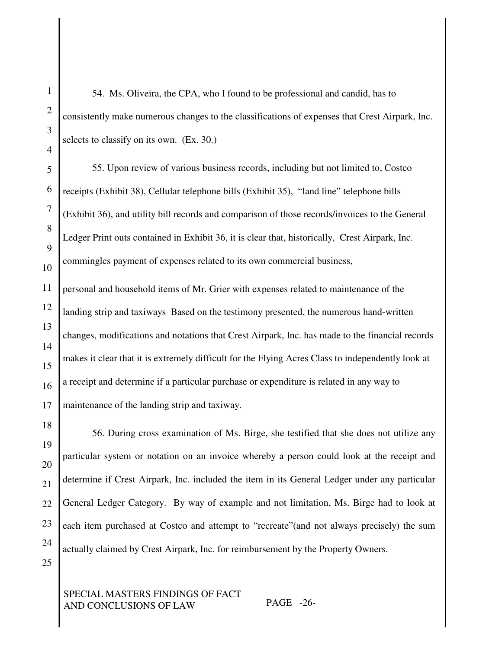54. Ms. Oliveira, the CPA, who I found to be professional and candid, has to consistently make numerous changes to the classifications of expenses that Crest Airpark, Inc. selects to classify on its own. (Ex. 30.)

55. Upon review of various business records, including but not limited to, Costco receipts (Exhibit 38), Cellular telephone bills (Exhibit 35), "land line" telephone bills (Exhibit 36), and utility bill records and comparison of those records/invoices to the General Ledger Print outs contained in Exhibit 36, it is clear that, historically, Crest Airpark, Inc. commingles payment of expenses related to its own commercial business,

personal and household items of Mr. Grier with expenses related to maintenance of the landing strip and taxiways Based on the testimony presented, the numerous hand-written changes, modifications and notations that Crest Airpark, Inc. has made to the financial records makes it clear that it is extremely difficult for the Flying Acres Class to independently look at a receipt and determine if a particular purchase or expenditure is related in any way to maintenance of the landing strip and taxiway.

18 19 20 21 22 23 24 56. During cross examination of Ms. Birge, she testified that she does not utilize any particular system or notation on an invoice whereby a person could look at the receipt and determine if Crest Airpark, Inc. included the item in its General Ledger under any particular General Ledger Category. By way of example and not limitation, Ms. Birge had to look at each item purchased at Costco and attempt to "recreate"(and not always precisely) the sum actually claimed by Crest Airpark, Inc. for reimbursement by the Property Owners.

SPECIAL MASTERS FINDINGS OF FACT AND CONCLUSIONS OF LAW PAGE -26-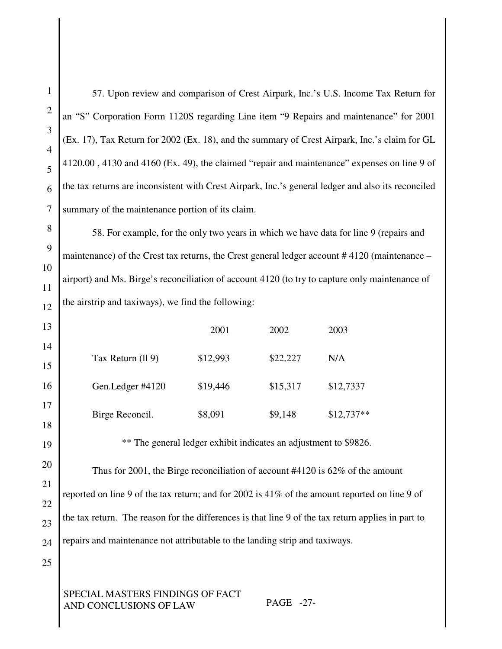57. Upon review and comparison of Crest Airpark, Inc.'s U.S. Income Tax Return for an "S" Corporation Form 1120S regarding Line item "9 Repairs and maintenance" for 2001 (Ex. 17), Tax Return for 2002 (Ex. 18), and the summary of Crest Airpark, Inc.'s claim for GL 4120.00 , 4130 and 4160 (Ex. 49), the claimed "repair and maintenance" expenses on line 9 of the tax returns are inconsistent with Crest Airpark, Inc.'s general ledger and also its reconciled summary of the maintenance portion of its claim.

58. For example, for the only two years in which we have data for line 9 (repairs and maintenance) of the Crest tax returns, the Crest general ledger account # 4120 (maintenance – airport) and Ms. Birge's reconciliation of account 4120 (to try to capture only maintenance of the airstrip and taxiways), we find the following:

|                   | 2001     | 2002     | 2003        |
|-------------------|----------|----------|-------------|
| Tax Return (ll 9) | \$12,993 | \$22,227 | N/A         |
| Gen.Ledger #4120  | \$19,446 | \$15,317 | \$12,7337   |
| Birge Reconcil.   | \$8,091  | \$9,148  | $$12,737**$ |

\*\* The general ledger exhibit indicates an adjustment to \$9826.

Thus for 2001, the Birge reconciliation of account #4120 is 62% of the amount reported on line 9 of the tax return; and for 2002 is 41% of the amount reported on line 9 of the tax return. The reason for the differences is that line 9 of the tax return applies in part to repairs and maintenance not attributable to the landing strip and taxiways.

25

# SPECIAL MASTERS FINDINGS OF FACT AND CONCLUSIONS OF LAW PAGE -27-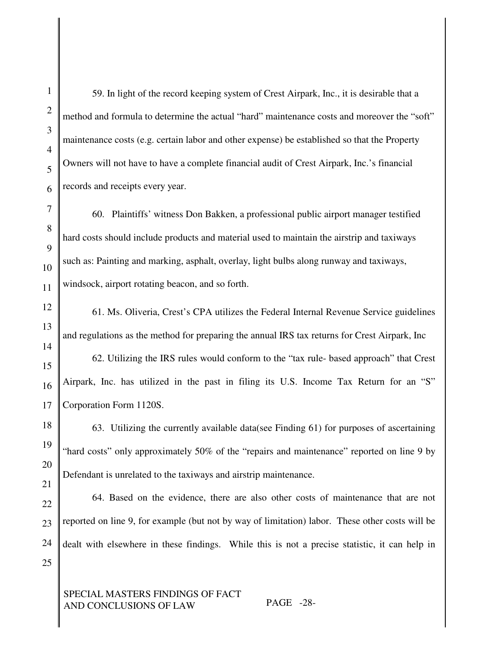59. In light of the record keeping system of Crest Airpark, Inc., it is desirable that a method and formula to determine the actual "hard" maintenance costs and moreover the "soft" maintenance costs (e.g. certain labor and other expense) be established so that the Property Owners will not have to have a complete financial audit of Crest Airpark, Inc.'s financial records and receipts every year.

60. Plaintiffs' witness Don Bakken, a professional public airport manager testified hard costs should include products and material used to maintain the airstrip and taxiways such as: Painting and marking, asphalt, overlay, light bulbs along runway and taxiways, windsock, airport rotating beacon, and so forth.

61. Ms. Oliveria, Crest's CPA utilizes the Federal Internal Revenue Service guidelines and regulations as the method for preparing the annual IRS tax returns for Crest Airpark, Inc

62. Utilizing the IRS rules would conform to the "tax rule- based approach" that Crest Airpark, Inc. has utilized in the past in filing its U.S. Income Tax Return for an "S" Corporation Form 1120S.

63. Utilizing the currently available data(see Finding 61) for purposes of ascertaining "hard costs" only approximately 50% of the "repairs and maintenance" reported on line 9 by Defendant is unrelated to the taxiways and airstrip maintenance.

64. Based on the evidence, there are also other costs of maintenance that are not reported on line 9, for example (but not by way of limitation) labor. These other costs will be dealt with elsewhere in these findings. While this is not a precise statistic, it can help in

SPECIAL MASTERS FINDINGS OF FACT AND CONCLUSIONS OF LAW PAGE -28-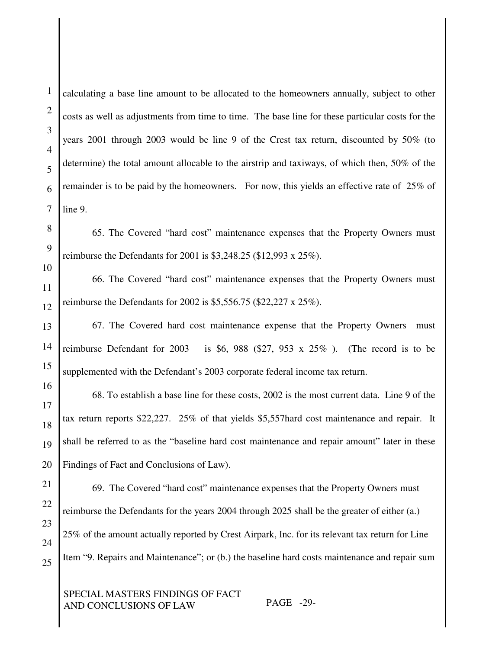calculating a base line amount to be allocated to the homeowners annually, subject to other costs as well as adjustments from time to time. The base line for these particular costs for the years 2001 through 2003 would be line 9 of the Crest tax return, discounted by 50% (to determine) the total amount allocable to the airstrip and taxiways, of which then, 50% of the remainder is to be paid by the homeowners. For now, this yields an effective rate of 25% of line 9.

65. The Covered "hard cost" maintenance expenses that the Property Owners must reimburse the Defendants for 2001 is \$3,248.25 (\$12,993 x 25%).

66. The Covered "hard cost" maintenance expenses that the Property Owners must reimburse the Defendants for 2002 is \$5,556.75 (\$22,227 x 25%).

67. The Covered hard cost maintenance expense that the Property Owners must reimburse Defendant for 2003 is \$6, 988 (\$27, 953 x 25%). (The record is to be supplemented with the Defendant's 2003 corporate federal income tax return.

68. To establish a base line for these costs, 2002 is the most current data. Line 9 of the tax return reports \$22,227. 25% of that yields \$5,557hard cost maintenance and repair. It shall be referred to as the "baseline hard cost maintenance and repair amount" later in these Findings of Fact and Conclusions of Law).

69. The Covered "hard cost" maintenance expenses that the Property Owners must reimburse the Defendants for the years 2004 through 2025 shall be the greater of either (a.) 25% of the amount actually reported by Crest Airpark, Inc. for its relevant tax return for Line Item "9. Repairs and Maintenance"; or (b.) the baseline hard costs maintenance and repair sum

SPECIAL MASTERS FINDINGS OF FACT AND CONCLUSIONS OF LAW PAGE -29-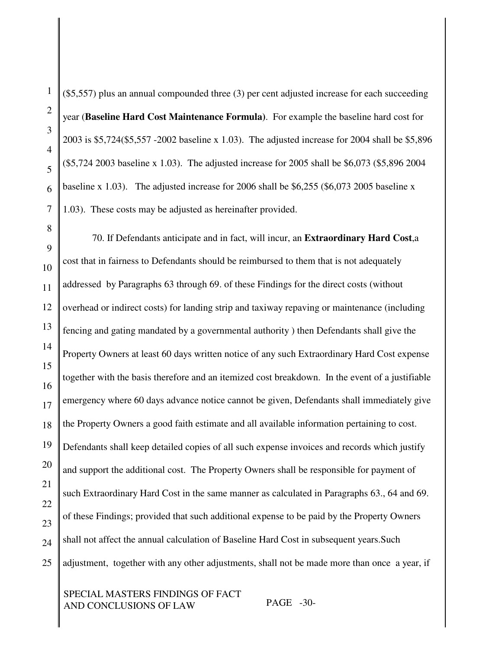(\$5,557) plus an annual compounded three (3) per cent adjusted increase for each succeeding year (**Baseline Hard Cost Maintenance Formula)**. For example the baseline hard cost for 2003 is \$5,724(\$5,557 -2002 baseline x 1.03). The adjusted increase for 2004 shall be \$5,896 (\$5,724 2003 baseline x 1.03). The adjusted increase for 2005 shall be \$6,073 (\$5,896 2004 baseline x 1.03). The adjusted increase for 2006 shall be \$6,255 (\$6,073 2005 baseline x 1.03). These costs may be adjusted as hereinafter provided.

70. If Defendants anticipate and in fact, will incur, an **Extraordinary Hard Cost**,a cost that in fairness to Defendants should be reimbursed to them that is not adequately addressed by Paragraphs 63 through 69. of these Findings for the direct costs (without overhead or indirect costs) for landing strip and taxiway repaving or maintenance (including fencing and gating mandated by a governmental authority ) then Defendants shall give the Property Owners at least 60 days written notice of any such Extraordinary Hard Cost expense together with the basis therefore and an itemized cost breakdown. In the event of a justifiable emergency where 60 days advance notice cannot be given, Defendants shall immediately give the Property Owners a good faith estimate and all available information pertaining to cost. Defendants shall keep detailed copies of all such expense invoices and records which justify and support the additional cost. The Property Owners shall be responsible for payment of such Extraordinary Hard Cost in the same manner as calculated in Paragraphs 63., 64 and 69. of these Findings; provided that such additional expense to be paid by the Property Owners shall not affect the annual calculation of Baseline Hard Cost in subsequent years.Such adjustment, together with any other adjustments, shall not be made more than once a year, if

## SPECIAL MASTERS FINDINGS OF FACT AND CONCLUSIONS OF LAW PAGE -30-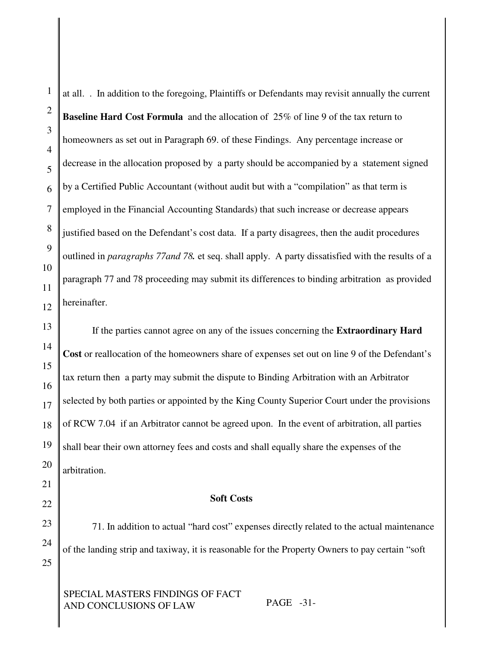at all. . In addition to the foregoing, Plaintiffs or Defendants may revisit annually the current **Baseline Hard Cost Formula** and the allocation of 25% of line 9 of the tax return to homeowners as set out in Paragraph 69. of these Findings. Any percentage increase or decrease in the allocation proposed by a party should be accompanied by a statement signed by a Certified Public Accountant (without audit but with a "compilation" as that term is employed in the Financial Accounting Standards) that such increase or decrease appears justified based on the Defendant's cost data. If a party disagrees, then the audit procedures outlined in *paragraphs 77and 78.* et seq. shall apply. A party dissatisfied with the results of a paragraph 77 and 78 proceeding may submit its differences to binding arbitration as provided hereinafter.

If the parties cannot agree on any of the issues concerning the **Extraordinary Hard Cost** or reallocation of the homeowners share of expenses set out on line 9 of the Defendant's tax return then a party may submit the dispute to Binding Arbitration with an Arbitrator selected by both parties or appointed by the King County Superior Court under the provisions of RCW 7.04 if an Arbitrator cannot be agreed upon. In the event of arbitration, all parties shall bear their own attorney fees and costs and shall equally share the expenses of the arbitration.

#### **Soft Costs**

71. In addition to actual "hard cost" expenses directly related to the actual maintenance of the landing strip and taxiway, it is reasonable for the Property Owners to pay certain "soft

SPECIAL MASTERS FINDINGS OF FACT AND CONCLUSIONS OF LAW PAGE -31-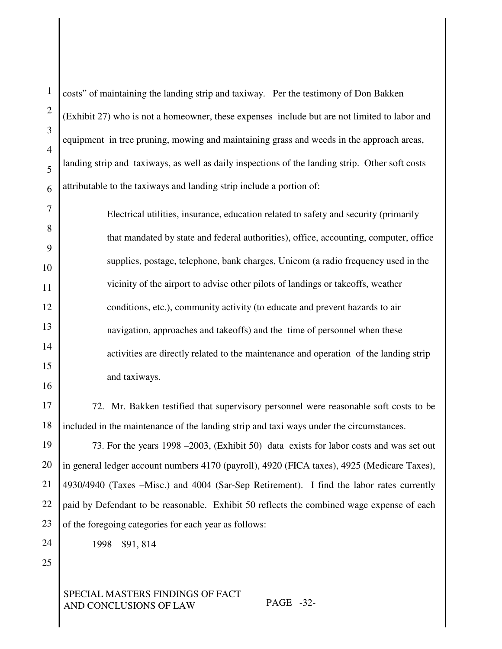costs" of maintaining the landing strip and taxiway. Per the testimony of Don Bakken (Exhibit 27) who is not a homeowner, these expenses include but are not limited to labor and equipment in tree pruning, mowing and maintaining grass and weeds in the approach areas, landing strip and taxiways, as well as daily inspections of the landing strip. Other soft costs attributable to the taxiways and landing strip include a portion of:

Electrical utilities, insurance, education related to safety and security (primarily that mandated by state and federal authorities), office, accounting, computer, office supplies, postage, telephone, bank charges, Unicom (a radio frequency used in the vicinity of the airport to advise other pilots of landings or takeoffs, weather conditions, etc.), community activity (to educate and prevent hazards to air navigation, approaches and takeoffs) and the time of personnel when these activities are directly related to the maintenance and operation of the landing strip and taxiways.

72. Mr. Bakken testified that supervisory personnel were reasonable soft costs to be included in the maintenance of the landing strip and taxi ways under the circumstances.

73. For the years 1998 –2003, (Exhibit 50) data exists for labor costs and was set out in general ledger account numbers 4170 (payroll), 4920 (FICA taxes), 4925 (Medicare Taxes), 4930/4940 (Taxes –Misc.) and 4004 (Sar-Sep Retirement). I find the labor rates currently paid by Defendant to be reasonable. Exhibit 50 reflects the combined wage expense of each of the foregoing categories for each year as follows:

1998 \$91, 814

25

SPECIAL MASTERS FINDINGS OF FACT AND CONCLUSIONS OF LAW PAGE -32-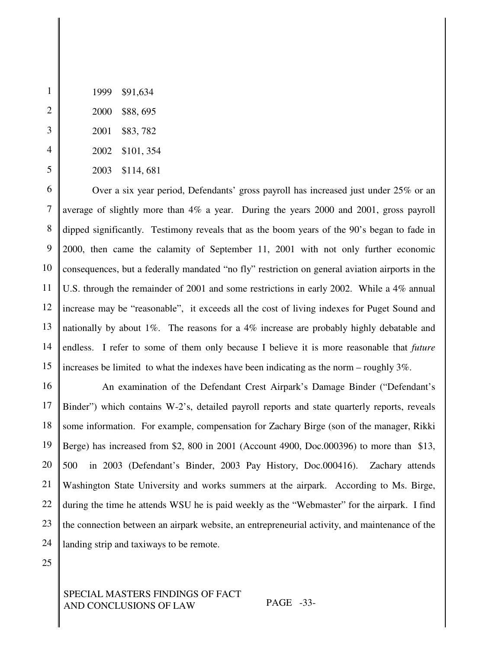- \$88, 695
- \$83, 782
- \$101, 354
- \$114, 681

 Over a six year period, Defendants' gross payroll has increased just under 25% or an average of slightly more than 4% a year. During the years 2000 and 2001, gross payroll dipped significantly. Testimony reveals that as the boom years of the 90's began to fade in 2000, then came the calamity of September 11, 2001 with not only further economic consequences, but a federally mandated "no fly" restriction on general aviation airports in the U.S. through the remainder of 2001 and some restrictions in early 2002. While a 4% annual increase may be "reasonable", it exceeds all the cost of living indexes for Puget Sound and nationally by about 1%. The reasons for a 4% increase are probably highly debatable and endless. I refer to some of them only because I believe it is more reasonable that *future* increases be limited to what the indexes have been indicating as the norm – roughly 3%.

 An examination of the Defendant Crest Airpark's Damage Binder ("Defendant's Binder") which contains W-2's, detailed payroll reports and state quarterly reports, reveals some information. For example, compensation for Zachary Birge (son of the manager, Rikki Berge) has increased from \$2, 800 in 2001 (Account 4900, Doc.000396) to more than \$13, in 2003 (Defendant's Binder, 2003 Pay History, Doc.000416). Zachary attends Washington State University and works summers at the airpark. According to Ms. Birge, during the time he attends WSU he is paid weekly as the "Webmaster" for the airpark. I find the connection between an airpark website, an entrepreneurial activity, and maintenance of the landing strip and taxiways to be remote.

## SPECIAL MASTERS FINDINGS OF FACT AND CONCLUSIONS OF LAW PAGE -33-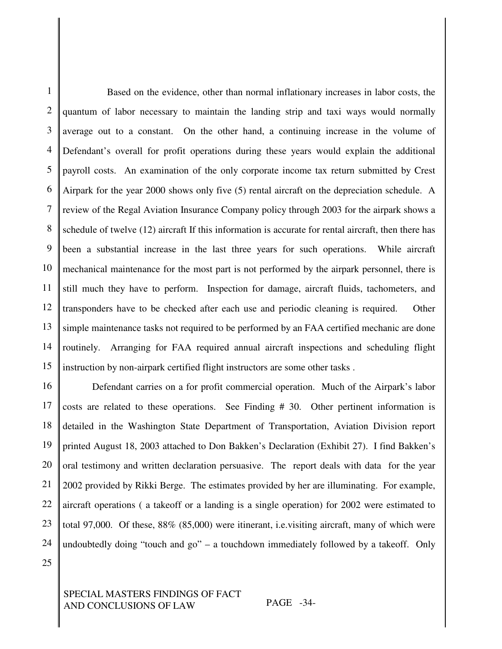1 2 3 4 5 6 7 8 9 10 11 12 13 14 15 Based on the evidence, other than normal inflationary increases in labor costs, the quantum of labor necessary to maintain the landing strip and taxi ways would normally average out to a constant. On the other hand, a continuing increase in the volume of Defendant's overall for profit operations during these years would explain the additional payroll costs. An examination of the only corporate income tax return submitted by Crest Airpark for the year 2000 shows only five (5) rental aircraft on the depreciation schedule. A review of the Regal Aviation Insurance Company policy through 2003 for the airpark shows a schedule of twelve (12) aircraft If this information is accurate for rental aircraft, then there has been a substantial increase in the last three years for such operations. While aircraft mechanical maintenance for the most part is not performed by the airpark personnel, there is still much they have to perform. Inspection for damage, aircraft fluids, tachometers, and transponders have to be checked after each use and periodic cleaning is required. Other simple maintenance tasks not required to be performed by an FAA certified mechanic are done routinely. Arranging for FAA required annual aircraft inspections and scheduling flight instruction by non-airpark certified flight instructors are some other tasks .

16 17 18 19 20 21 22 23 24 Defendant carries on a for profit commercial operation. Much of the Airpark's labor costs are related to these operations. See Finding # 30. Other pertinent information is detailed in the Washington State Department of Transportation, Aviation Division report printed August 18, 2003 attached to Don Bakken's Declaration (Exhibit 27). I find Bakken's oral testimony and written declaration persuasive. The report deals with data for the year 2002 provided by Rikki Berge. The estimates provided by her are illuminating. For example, aircraft operations ( a takeoff or a landing is a single operation) for 2002 were estimated to total 97,000. Of these, 88% (85,000) were itinerant, i.e.visiting aircraft, many of which were undoubtedly doing "touch and go" – a touchdown immediately followed by a takeoff. Only

25

SPECIAL MASTERS FINDINGS OF FACT AND CONCLUSIONS OF LAW PAGE -34-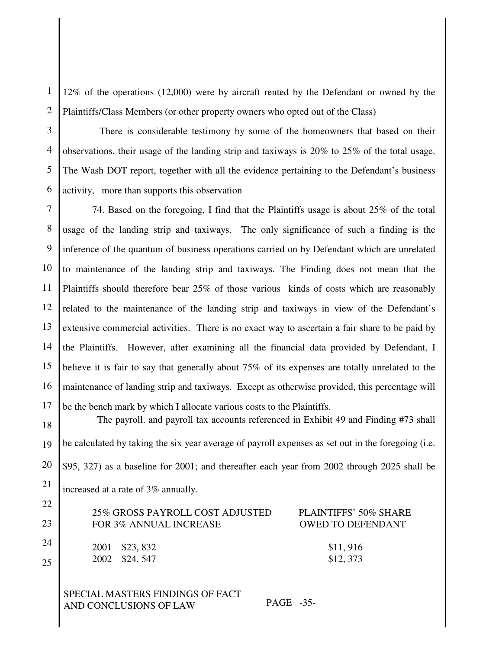2 12% of the operations (12,000) were by aircraft rented by the Defendant or owned by the Plaintiffs/Class Members (or other property owners who opted out of the Class)

3 4 There is considerable testimony by some of the homeowners that based on their observations, their usage of the landing strip and taxiways is 20% to 25% of the total usage. The Wash DOT report, together with all the evidence pertaining to the Defendant's business activity, more than supports this observation

7 8 9 10 12 13 14 74. Based on the foregoing, I find that the Plaintiffs usage is about 25% of the total usage of the landing strip and taxiways. The only significance of such a finding is the inference of the quantum of business operations carried on by Defendant which are unrelated to maintenance of the landing strip and taxiways. The Finding does not mean that the Plaintiffs should therefore bear 25% of those various kinds of costs which are reasonably related to the maintenance of the landing strip and taxiways in view of the Defendant's extensive commercial activities. There is no exact way to ascertain a fair share to be paid by the Plaintiffs. However, after examining all the financial data provided by Defendant, I believe it is fair to say that generally about 75% of its expenses are totally unrelated to the maintenance of landing strip and taxiways. Except as otherwise provided, this percentage will be the bench mark by which I allocate various costs to the Plaintiffs.

19 20 The payroll. and payroll tax accounts referenced in Exhibit 49 and Finding #73 shall be calculated by taking the six year average of payroll expenses as set out in the foregoing (i.e. \$95, 327) as a baseline for 2001; and thereafter each year from 2002 through 2025 shall be increased at a rate of 3% annually.

| 25% GROSS PAYROLL COST ADJUSTED<br>FOR 3% ANNUAL INCREASE | PLAINTIFFS' 50% SHARE<br><b>OWED TO DEFENDANT</b> |
|-----------------------------------------------------------|---------------------------------------------------|
| 2001 \$23,832<br>2002 \$24,547                            | \$11,916<br>\$12, 373                             |

SPECIAL MASTERS FINDINGS OF FACT AND CONCLUSIONS OF LAW PAGE -35-

1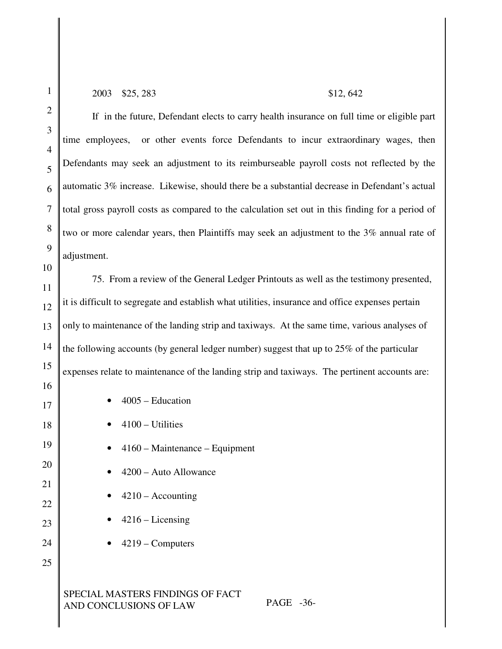2

#### 2003 \$25, 283 \$12, 642

If in the future, Defendant elects to carry health insurance on full time or eligible part time employees, or other events force Defendants to incur extraordinary wages, then Defendants may seek an adjustment to its reimburseable payroll costs not reflected by the automatic 3% increase. Likewise, should there be a substantial decrease in Defendant's actual total gross payroll costs as compared to the calculation set out in this finding for a period of two or more calendar years, then Plaintiffs may seek an adjustment to the 3% annual rate of adjustment.

75. From a review of the General Ledger Printouts as well as the testimony presented, it is difficult to segregate and establish what utilities, insurance and office expenses pertain only to maintenance of the landing strip and taxiways. At the same time, various analyses of the following accounts (by general ledger number) suggest that up to 25% of the particular expenses relate to maintenance of the landing strip and taxiways. The pertinent accounts are: • 4005 – Education

- 4100 Utilities
- 
- 4160 Maintenance Equipment
- 4200 Auto Allowance
- $4210 -$  Accounting
- $4216 Lieensing$
- 4219 Computers
- 

# SPECIAL MASTERS FINDINGS OF FACT AND CONCLUSIONS OF LAW PAGE -36-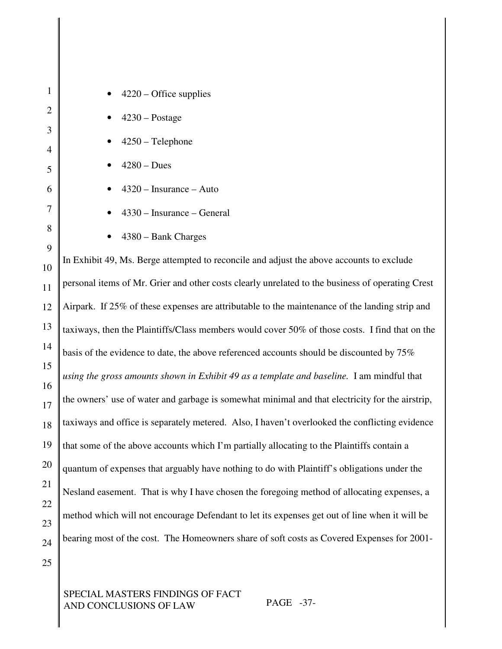| $\mathbf{1}$     | $4220 -$ Office supplies                                                                         |
|------------------|--------------------------------------------------------------------------------------------------|
| $\overline{2}$   | $4230 - Postage$                                                                                 |
| 3                | $4250$ – Telephone                                                                               |
| 4                | $4280 - Dues$                                                                                    |
| 5<br>6           | $4320$ – Insurance – Auto                                                                        |
| $\boldsymbol{7}$ |                                                                                                  |
| 8                | 4330 - Insurance - General                                                                       |
| 9                | 4380 – Bank Charges                                                                              |
| 10               | In Exhibit 49, Ms. Berge attempted to reconcile and adjust the above accounts to exclude         |
| 11               | personal items of Mr. Grier and other costs clearly unrelated to the business of operating Crest |
| 12               | Airpark. If 25% of these expenses are attributable to the maintenance of the landing strip and   |
| 13               | taxiways, then the Plaintiffs/Class members would cover 50% of those costs. I find that on the   |
| 14               | basis of the evidence to date, the above referenced accounts should be discounted by 75%         |
| 15               | using the gross amounts shown in Exhibit 49 as a template and baseline. I am mindful that        |
| 16<br>17         | the owners' use of water and garbage is somewhat minimal and that electricity for the airstrip,  |
| 18               | taxiways and office is separately metered. Also, I haven't overlooked the conflicting evidence   |
| 19               | that some of the above accounts which I'm partially allocating to the Plaintiffs contain a       |
| 20               | quantum of expenses that arguably have nothing to do with Plaintiff's obligations under the      |
| 21               |                                                                                                  |
| 22               | Nesland easement. That is why I have chosen the foregoing method of allocating expenses, a       |
| 23               | method which will not encourage Defendant to let its expenses get out of line when it will be    |
| 24               | bearing most of the cost. The Homeowners share of soft costs as Covered Expenses for 2001-       |
| 25               |                                                                                                  |

SPECIAL MASTERS FINDINGS OF FACT AND CONCLUSIONS OF LAW PAGE -37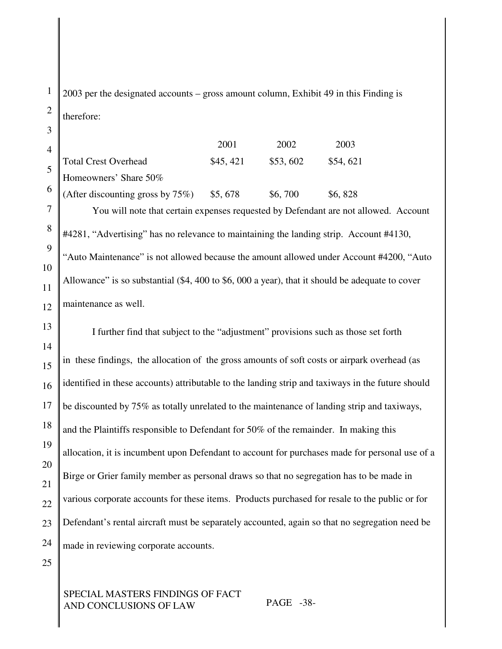2003 per the designated accounts – gross amount column, Exhibit 49 in this Finding is therefore:

4 5 6 2001 2002 2003 Total Crest Overhead \$45, 421 \$53, 602 \$54, 621 Homeowners' Share 50% (After discounting gross by  $75\%$ ) \$5, 678 \$6, 700 \$6, 828

You will note that certain expenses requested by Defendant are not allowed. Account #4281, "Advertising" has no relevance to maintaining the landing strip. Account #4130, "Auto Maintenance" is not allowed because the amount allowed under Account #4200, "Auto Allowance" is so substantial (\$4, 400 to \$6, 000 a year), that it should be adequate to cover maintenance as well.

13 14 15 16 17 18 19 20 21 22 23 24 I further find that subject to the "adjustment" provisions such as those set forth in these findings, the allocation of the gross amounts of soft costs or airpark overhead (as identified in these accounts) attributable to the landing strip and taxiways in the future should be discounted by 75% as totally unrelated to the maintenance of landing strip and taxiways, and the Plaintiffs responsible to Defendant for 50% of the remainder. In making this allocation, it is incumbent upon Defendant to account for purchases made for personal use of a Birge or Grier family member as personal draws so that no segregation has to be made in various corporate accounts for these items. Products purchased for resale to the public or for Defendant's rental aircraft must be separately accounted, again so that no segregation need be made in reviewing corporate accounts.

25

1

2

3

7

8

9

10

11

12

# SPECIAL MASTERS FINDINGS OF FACT AND CONCLUSIONS OF LAW PAGE -38-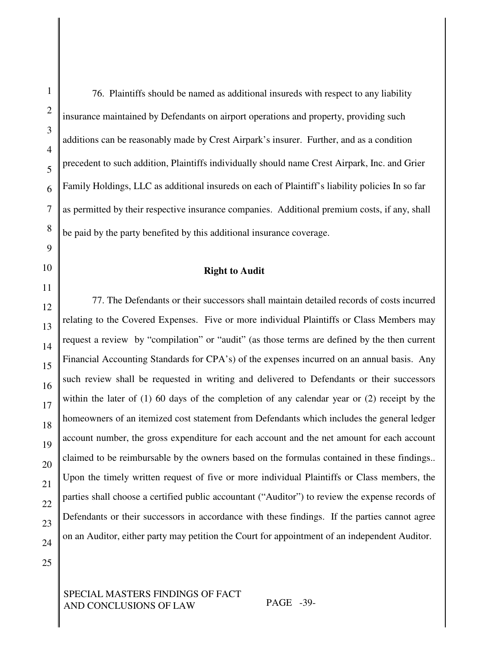76. Plaintiffs should be named as additional insureds with respect to any liability insurance maintained by Defendants on airport operations and property, providing such additions can be reasonably made by Crest Airpark's insurer. Further, and as a condition precedent to such addition, Plaintiffs individually should name Crest Airpark, Inc. and Grier Family Holdings, LLC as additional insureds on each of Plaintiff's liability policies In so far as permitted by their respective insurance companies. Additional premium costs, if any, shall be paid by the party benefited by this additional insurance coverage.

## **Right to Audit**

77. The Defendants or their successors shall maintain detailed records of costs incurred relating to the Covered Expenses. Five or more individual Plaintiffs or Class Members may request a review by "compilation" or "audit" (as those terms are defined by the then current Financial Accounting Standards for CPA's) of the expenses incurred on an annual basis. Any such review shall be requested in writing and delivered to Defendants or their successors within the later of (1) 60 days of the completion of any calendar year or (2) receipt by the homeowners of an itemized cost statement from Defendants which includes the general ledger account number, the gross expenditure for each account and the net amount for each account claimed to be reimbursable by the owners based on the formulas contained in these findings.. Upon the timely written request of five or more individual Plaintiffs or Class members, the parties shall choose a certified public accountant ("Auditor") to review the expense records of Defendants or their successors in accordance with these findings. If the parties cannot agree on an Auditor, either party may petition the Court for appointment of an independent Auditor.

SPECIAL MASTERS FINDINGS OF FACT AND CONCLUSIONS OF LAW PAGE -39-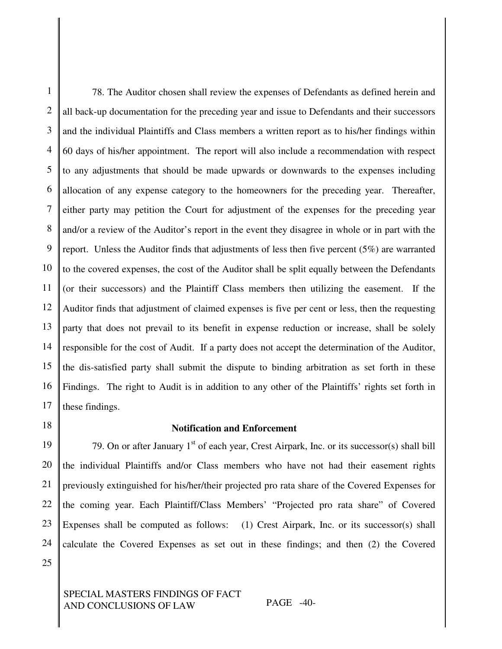1 2 3 4 5 6 7 8 9 10 11 12 13 14 15 16 17 78. The Auditor chosen shall review the expenses of Defendants as defined herein and all back-up documentation for the preceding year and issue to Defendants and their successors and the individual Plaintiffs and Class members a written report as to his/her findings within 60 days of his/her appointment. The report will also include a recommendation with respect to any adjustments that should be made upwards or downwards to the expenses including allocation of any expense category to the homeowners for the preceding year. Thereafter, either party may petition the Court for adjustment of the expenses for the preceding year and/or a review of the Auditor's report in the event they disagree in whole or in part with the report. Unless the Auditor finds that adjustments of less then five percent (5%) are warranted to the covered expenses, the cost of the Auditor shall be split equally between the Defendants (or their successors) and the Plaintiff Class members then utilizing the easement. If the Auditor finds that adjustment of claimed expenses is five per cent or less, then the requesting party that does not prevail to its benefit in expense reduction or increase, shall be solely responsible for the cost of Audit. If a party does not accept the determination of the Auditor, the dis-satisfied party shall submit the dispute to binding arbitration as set forth in these Findings. The right to Audit is in addition to any other of the Plaintiffs' rights set forth in these findings.

18

# **Notification and Enforcement**

19 20 21 22 23 24 25 79. On or after January 1<sup>st</sup> of each year, Crest Airpark, Inc. or its successor(s) shall bill the individual Plaintiffs and/or Class members who have not had their easement rights previously extinguished for his/her/their projected pro rata share of the Covered Expenses for the coming year. Each Plaintiff/Class Members' "Projected pro rata share" of Covered Expenses shall be computed as follows: (1) Crest Airpark, Inc. or its successor(s) shall calculate the Covered Expenses as set out in these findings; and then (2) the Covered

SPECIAL MASTERS FINDINGS OF FACT AND CONCLUSIONS OF LAW PAGE -40-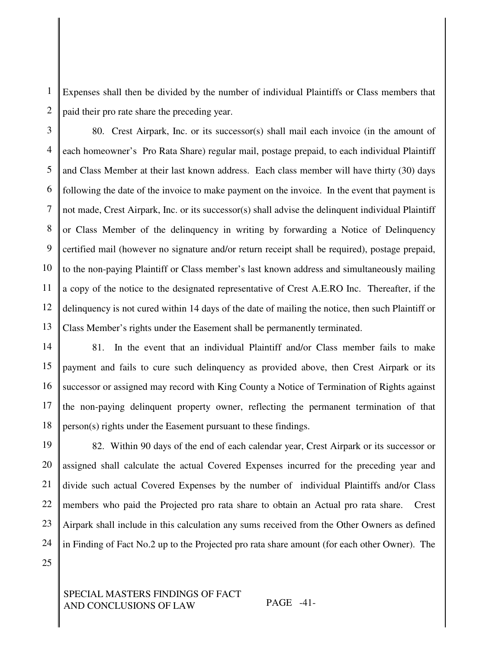1 2 Expenses shall then be divided by the number of individual Plaintiffs or Class members that paid their pro rate share the preceding year.

3 4 5 6 7 8 9 10 11 12 13 80. Crest Airpark, Inc. or its successor(s) shall mail each invoice (in the amount of each homeowner's Pro Rata Share) regular mail, postage prepaid, to each individual Plaintiff and Class Member at their last known address. Each class member will have thirty (30) days following the date of the invoice to make payment on the invoice. In the event that payment is not made, Crest Airpark, Inc. or its successor(s) shall advise the delinquent individual Plaintiff or Class Member of the delinquency in writing by forwarding a Notice of Delinquency certified mail (however no signature and/or return receipt shall be required), postage prepaid, to the non-paying Plaintiff or Class member's last known address and simultaneously mailing a copy of the notice to the designated representative of Crest A.E.RO Inc. Thereafter, if the delinquency is not cured within 14 days of the date of mailing the notice, then such Plaintiff or Class Member's rights under the Easement shall be permanently terminated.

14 15 16 17 18 81. In the event that an individual Plaintiff and/or Class member fails to make payment and fails to cure such delinquency as provided above, then Crest Airpark or its successor or assigned may record with King County a Notice of Termination of Rights against the non-paying delinquent property owner, reflecting the permanent termination of that person(s) rights under the Easement pursuant to these findings.

19 20 21 22 23 24 82. Within 90 days of the end of each calendar year, Crest Airpark or its successor or assigned shall calculate the actual Covered Expenses incurred for the preceding year and divide such actual Covered Expenses by the number of individual Plaintiffs and/or Class members who paid the Projected pro rata share to obtain an Actual pro rata share. Crest Airpark shall include in this calculation any sums received from the Other Owners as defined in Finding of Fact No.2 up to the Projected pro rata share amount (for each other Owner). The

25

SPECIAL MASTERS FINDINGS OF FACT AND CONCLUSIONS OF LAW PAGE -41-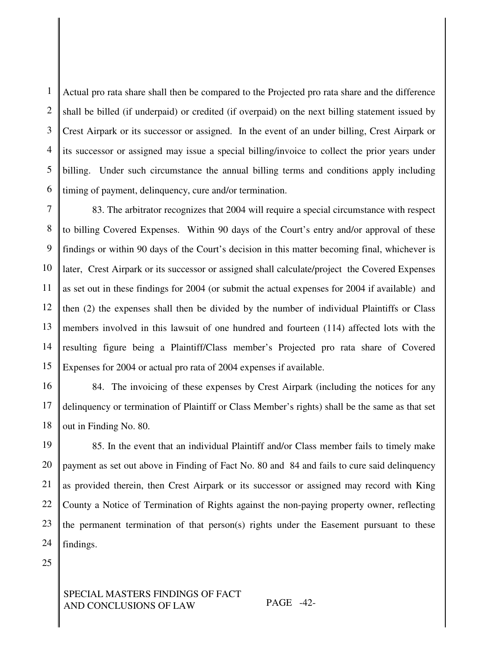1 2 3 4 5 6 Actual pro rata share shall then be compared to the Projected pro rata share and the difference shall be billed (if underpaid) or credited (if overpaid) on the next billing statement issued by Crest Airpark or its successor or assigned. In the event of an under billing, Crest Airpark or its successor or assigned may issue a special billing/invoice to collect the prior years under billing. Under such circumstance the annual billing terms and conditions apply including timing of payment, delinquency, cure and/or termination.

7 8 9 10 11 12 13 14 15 83. The arbitrator recognizes that 2004 will require a special circumstance with respect to billing Covered Expenses. Within 90 days of the Court's entry and/or approval of these findings or within 90 days of the Court's decision in this matter becoming final, whichever is later, Crest Airpark or its successor or assigned shall calculate/project the Covered Expenses as set out in these findings for 2004 (or submit the actual expenses for 2004 if available) and then (2) the expenses shall then be divided by the number of individual Plaintiffs or Class members involved in this lawsuit of one hundred and fourteen (114) affected lots with the resulting figure being a Plaintiff/Class member's Projected pro rata share of Covered Expenses for 2004 or actual pro rata of 2004 expenses if available.

16 17 18 84. The invoicing of these expenses by Crest Airpark (including the notices for any delinquency or termination of Plaintiff or Class Member's rights) shall be the same as that set out in Finding No. 80.

19 20 21 22 23 24 85. In the event that an individual Plaintiff and/or Class member fails to timely make payment as set out above in Finding of Fact No. 80 and 84 and fails to cure said delinquency as provided therein, then Crest Airpark or its successor or assigned may record with King County a Notice of Termination of Rights against the non-paying property owner, reflecting the permanent termination of that person(s) rights under the Easement pursuant to these findings.

25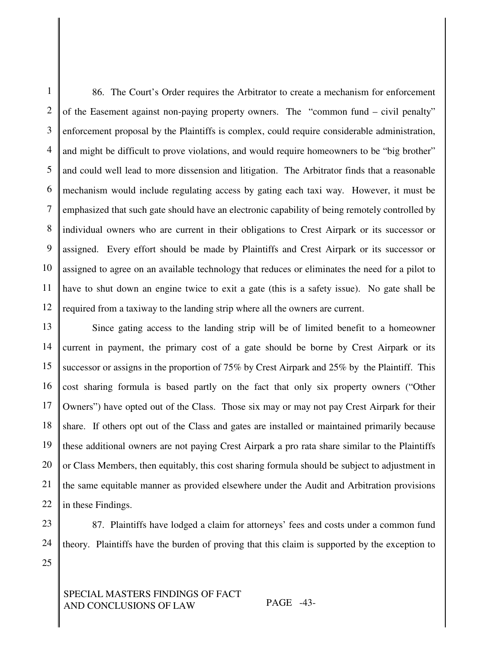1 2 3 4 5 6 7 8 9 10 11 12 86. The Court's Order requires the Arbitrator to create a mechanism for enforcement of the Easement against non-paying property owners. The "common fund – civil penalty" enforcement proposal by the Plaintiffs is complex, could require considerable administration, and might be difficult to prove violations, and would require homeowners to be "big brother" and could well lead to more dissension and litigation. The Arbitrator finds that a reasonable mechanism would include regulating access by gating each taxi way. However, it must be emphasized that such gate should have an electronic capability of being remotely controlled by individual owners who are current in their obligations to Crest Airpark or its successor or assigned. Every effort should be made by Plaintiffs and Crest Airpark or its successor or assigned to agree on an available technology that reduces or eliminates the need for a pilot to have to shut down an engine twice to exit a gate (this is a safety issue). No gate shall be required from a taxiway to the landing strip where all the owners are current.

13 14 15 16 17 18 19 20 21 22 Since gating access to the landing strip will be of limited benefit to a homeowner current in payment, the primary cost of a gate should be borne by Crest Airpark or its successor or assigns in the proportion of 75% by Crest Airpark and 25% by the Plaintiff. This cost sharing formula is based partly on the fact that only six property owners ("Other Owners") have opted out of the Class. Those six may or may not pay Crest Airpark for their share. If others opt out of the Class and gates are installed or maintained primarily because these additional owners are not paying Crest Airpark a pro rata share similar to the Plaintiffs or Class Members, then equitably, this cost sharing formula should be subject to adjustment in the same equitable manner as provided elsewhere under the Audit and Arbitration provisions in these Findings.

23 24

25

87. Plaintiffs have lodged a claim for attorneys' fees and costs under a common fund theory. Plaintiffs have the burden of proving that this claim is supported by the exception to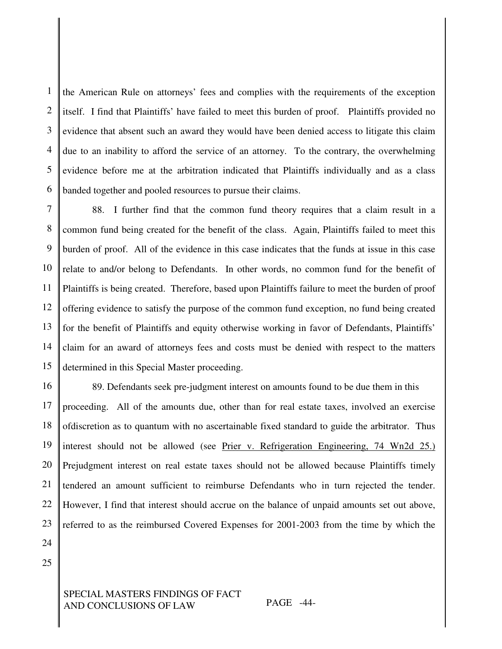1 2 3 4 5 6 the American Rule on attorneys' fees and complies with the requirements of the exception itself. I find that Plaintiffs' have failed to meet this burden of proof. Plaintiffs provided no evidence that absent such an award they would have been denied access to litigate this claim due to an inability to afford the service of an attorney. To the contrary, the overwhelming evidence before me at the arbitration indicated that Plaintiffs individually and as a class banded together and pooled resources to pursue their claims.

7 8 9 10 11 12 13 14 15 88. I further find that the common fund theory requires that a claim result in a common fund being created for the benefit of the class. Again, Plaintiffs failed to meet this burden of proof. All of the evidence in this case indicates that the funds at issue in this case relate to and/or belong to Defendants. In other words, no common fund for the benefit of Plaintiffs is being created. Therefore, based upon Plaintiffs failure to meet the burden of proof offering evidence to satisfy the purpose of the common fund exception, no fund being created for the benefit of Plaintiffs and equity otherwise working in favor of Defendants, Plaintiffs' claim for an award of attorneys fees and costs must be denied with respect to the matters determined in this Special Master proceeding.

16 17 18 19 20 21 22 23 24 89. Defendants seek pre-judgment interest on amounts found to be due them in this proceeding. All of the amounts due, other than for real estate taxes, involved an exercise ofdiscretion as to quantum with no ascertainable fixed standard to guide the arbitrator. Thus interest should not be allowed (see Prier v. Refrigeration Engineering, 74 Wn2d 25.) Prejudgment interest on real estate taxes should not be allowed because Plaintiffs timely tendered an amount sufficient to reimburse Defendants who in turn rejected the tender. However, I find that interest should accrue on the balance of unpaid amounts set out above, referred to as the reimbursed Covered Expenses for 2001-2003 from the time by which the

25

## SPECIAL MASTERS FINDINGS OF FACT AND CONCLUSIONS OF LAW PAGE -44-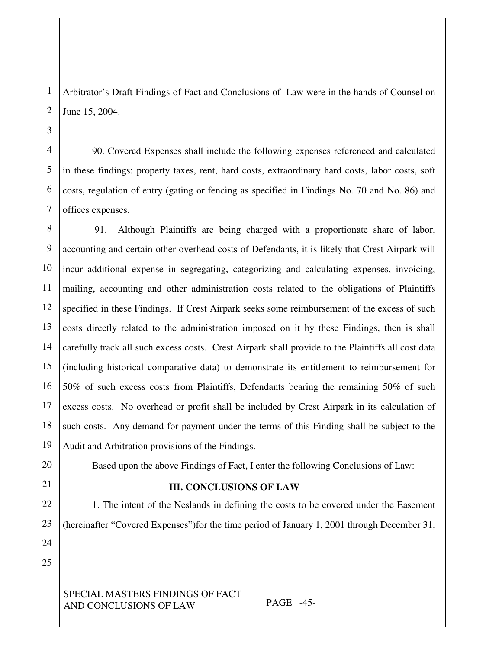Arbitrator's Draft Findings of Fact and Conclusions of Law were in the hands of Counsel on June 15, 2004.

90. Covered Expenses shall include the following expenses referenced and calculated in these findings: property taxes, rent, hard costs, extraordinary hard costs, labor costs, soft costs, regulation of entry (gating or fencing as specified in Findings No. 70 and No. 86) and offices expenses.

8 9 10 11 12 13 14 15 16 17 18 19 91. Although Plaintiffs are being charged with a proportionate share of labor, accounting and certain other overhead costs of Defendants, it is likely that Crest Airpark will incur additional expense in segregating, categorizing and calculating expenses, invoicing, mailing, accounting and other administration costs related to the obligations of Plaintiffs specified in these Findings. If Crest Airpark seeks some reimbursement of the excess of such costs directly related to the administration imposed on it by these Findings, then is shall carefully track all such excess costs. Crest Airpark shall provide to the Plaintiffs all cost data (including historical comparative data) to demonstrate its entitlement to reimbursement for 50% of such excess costs from Plaintiffs, Defendants bearing the remaining 50% of such excess costs. No overhead or profit shall be included by Crest Airpark in its calculation of such costs. Any demand for payment under the terms of this Finding shall be subject to the Audit and Arbitration provisions of the Findings.

20

1

2

3

4

5

6

7

21

22

23

# Based upon the above Findings of Fact, I enter the following Conclusions of Law:

# **III. CONCLUSIONS OF LAW**

1. The intent of the Neslands in defining the costs to be covered under the Easement (hereinafter "Covered Expenses")for the time period of January 1, 2001 through December 31,

25

24

# SPECIAL MASTERS FINDINGS OF FACT AND CONCLUSIONS OF LAW PAGE -45-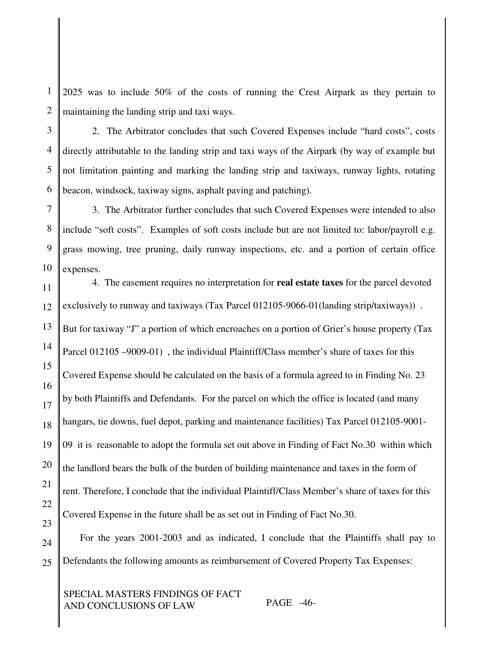1 2 2025 was to include 50% of the costs of running the Crest Airpark as they pertain to maintaining the landing strip and taxi ways.

3 4 5 6 2. The Arbitrator concludes that such Covered Expenses include "hard costs", costs directly attributable to the landing strip and taxi ways of the Airpark (by way of example but not limitation painting and marking the landing strip and taxiways, runway lights, rotating beacon, windsock, taxiway signs, asphalt paving and patching).

7 8 9 10 3. The Arbitrator further concludes that such Covered Expenses were intended to also include "soft costs". Examples of soft costs include but are not limited to: labor/payroll e.g. grass mowing, tree pruning, daily runway inspections, etc. and a portion of certain office expenses.

11 12 13 14 15 16 17 18 19 20 21 22 23 4. The easement requires no interpretation for **real estate taxes** for the parcel devoted exclusively to runway and taxiways (Tax Parcel 012105-9066-01(landing strip/taxiways)) . But for taxiway "J" a portion of which encroaches on a portion of Grier's house property (Tax Parcel 012105 –9009-01), the individual Plaintiff/Class member's share of taxes for this Covered Expense should be calculated on the basis of a formula agreed to in Finding No. 23 by both Plaintiffs and Defendants. For the parcel on which the office is located (and many hangars, tie downs, fuel depot, parking and maintenance facilities) Tax Parcel 012105-9001- 09 it is reasonable to adopt the formula set out above in Finding of Fact No.30 within which the landlord bears the bulk of the burden of building maintenance and taxes in the form of rent. Therefore, I conclude that the individual Plaintiff/Class Member's share of taxes for this Covered Expense in the future shall be as set out in Finding of Fact No.30.

24 25 For the years 2001-2003 and as indicated, I conclude that the Plaintiffs shall pay to Defendants the following amounts as reimbursement of Covered Property Tax Expenses:

SPECIAL MASTERS FINDINGS OF FACT AND CONCLUSIONS OF LAW PAGE -46-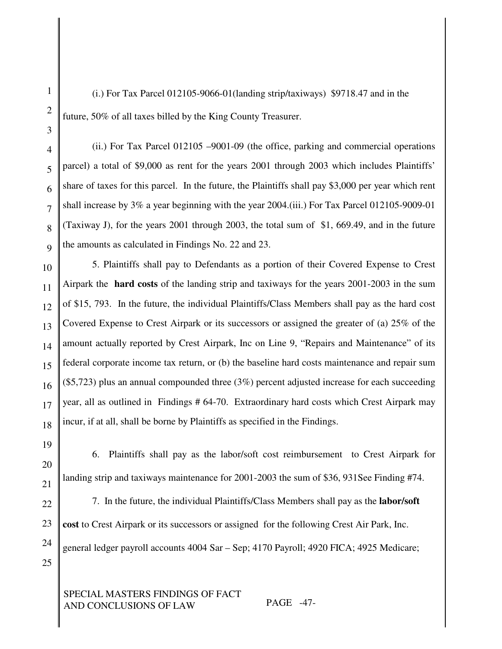(i.) For Tax Parcel 012105-9066-01(landing strip/taxiways) \$9718.47 and in the future, 50% of all taxes billed by the King County Treasurer.

(ii.) For Tax Parcel 012105 –9001-09 (the office, parking and commercial operations parcel) a total of \$9,000 as rent for the years 2001 through 2003 which includes Plaintiffs' share of taxes for this parcel. In the future, the Plaintiffs shall pay \$3,000 per year which rent shall increase by 3% a year beginning with the year 2004.(iii.) For Tax Parcel 012105-9009-01 (Taxiway J), for the years 2001 through 2003, the total sum of \$1, 669.49, and in the future the amounts as calculated in Findings No. 22 and 23.

5. Plaintiffs shall pay to Defendants as a portion of their Covered Expense to Crest Airpark the **hard costs** of the landing strip and taxiways for the years 2001-2003 in the sum of \$15, 793. In the future, the individual Plaintiffs/Class Members shall pay as the hard cost Covered Expense to Crest Airpark or its successors or assigned the greater of (a) 25% of the amount actually reported by Crest Airpark, Inc on Line 9, "Repairs and Maintenance" of its federal corporate income tax return, or (b) the baseline hard costs maintenance and repair sum (\$5,723) plus an annual compounded three (3%) percent adjusted increase for each succeeding year, all as outlined in Findings # 64-70. Extraordinary hard costs which Crest Airpark may incur, if at all, shall be borne by Plaintiffs as specified in the Findings.

19

6. Plaintiffs shall pay as the labor/soft cost reimbursement to Crest Airpark for landing strip and taxiways maintenance for 2001-2003 the sum of \$36, 931See Finding #74.

7. In the future, the individual Plaintiffs/Class Members shall pay as the **labor/soft cost** to Crest Airpark or its successors or assigned for the following Crest Air Park, Inc. general ledger payroll accounts 4004 Sar – Sep; 4170 Payroll; 4920 FICA; 4925 Medicare;

SPECIAL MASTERS FINDINGS OF FACT AND CONCLUSIONS OF LAW PAGE -47-

1

2

3

4

5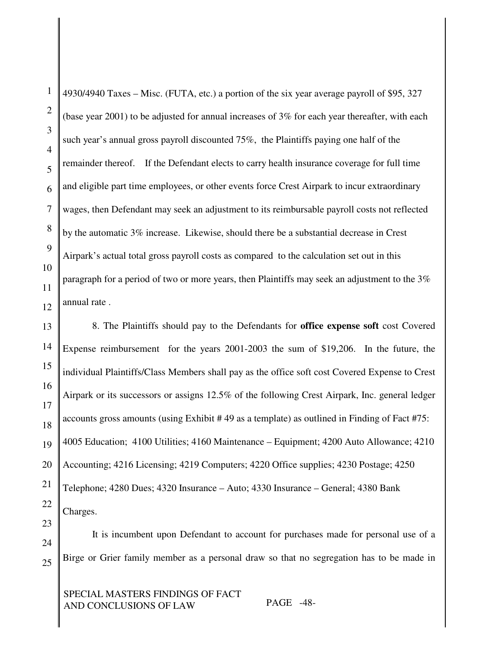1 2 3 4 5 6 7 8 9 4930/4940 Taxes – Misc. (FUTA, etc.) a portion of the six year average payroll of \$95, 327 (base year 2001) to be adjusted for annual increases of 3% for each year thereafter, with each such year's annual gross payroll discounted 75%, the Plaintiffs paying one half of the remainder thereof. If the Defendant elects to carry health insurance coverage for full time and eligible part time employees, or other events force Crest Airpark to incur extraordinary wages, then Defendant may seek an adjustment to its reimbursable payroll costs not reflected by the automatic 3% increase. Likewise, should there be a substantial decrease in Crest Airpark's actual total gross payroll costs as compared to the calculation set out in this paragraph for a period of two or more years, then Plaintiffs may seek an adjustment to the 3% annual rate .

8. The Plaintiffs should pay to the Defendants for **office expense soft** cost Covered Expense reimbursement for the years 2001-2003 the sum of \$19,206. In the future, the individual Plaintiffs/Class Members shall pay as the office soft cost Covered Expense to Crest Airpark or its successors or assigns 12.5% of the following Crest Airpark, Inc. general ledger accounts gross amounts (using Exhibit # 49 as a template) as outlined in Finding of Fact #75: 4005 Education; 4100 Utilities; 4160 Maintenance – Equipment; 4200 Auto Allowance; 4210 Accounting; 4216 Licensing; 4219 Computers; 4220 Office supplies; 4230 Postage; 4250 Telephone; 4280 Dues; 4320 Insurance – Auto; 4330 Insurance – General; 4380 Bank Charges.

It is incumbent upon Defendant to account for purchases made for personal use of a Birge or Grier family member as a personal draw so that no segregation has to be made in

SPECIAL MASTERS FINDINGS OF FACT AND CONCLUSIONS OF LAW PAGE -48-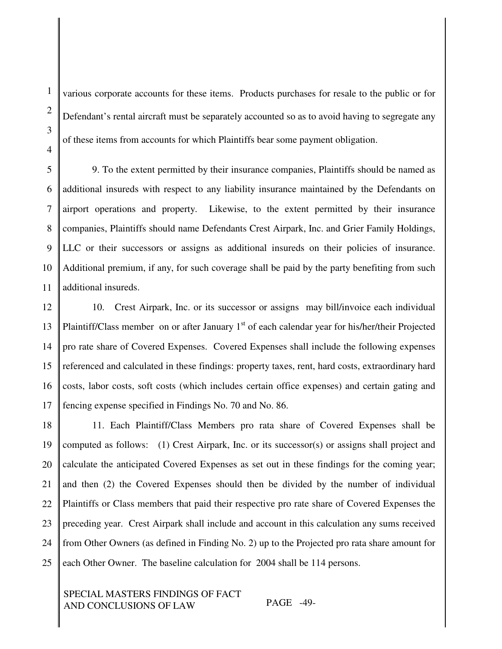2

3

various corporate accounts for these items. Products purchases for resale to the public or for Defendant's rental aircraft must be separately accounted so as to avoid having to segregate any of these items from accounts for which Plaintiffs bear some payment obligation.

5 6 7 8 9. To the extent permitted by their insurance companies, Plaintiffs should be named as additional insureds with respect to any liability insurance maintained by the Defendants on airport operations and property. Likewise, to the extent permitted by their insurance companies, Plaintiffs should name Defendants Crest Airpark, Inc. and Grier Family Holdings, LLC or their successors or assigns as additional insureds on their policies of insurance. Additional premium, if any, for such coverage shall be paid by the party benefiting from such additional insureds.

12 13 14 15 16 17 10. Crest Airpark, Inc. or its successor or assigns may bill/invoice each individual Plaintiff/Class member on or after January 1<sup>st</sup> of each calendar year for his/her/their Projected pro rate share of Covered Expenses. Covered Expenses shall include the following expenses referenced and calculated in these findings: property taxes, rent, hard costs, extraordinary hard costs, labor costs, soft costs (which includes certain office expenses) and certain gating and fencing expense specified in Findings No. 70 and No. 86.

18 19 20 21 22 23 24 25 11. Each Plaintiff/Class Members pro rata share of Covered Expenses shall be computed as follows: (1) Crest Airpark, Inc. or its successor(s) or assigns shall project and calculate the anticipated Covered Expenses as set out in these findings for the coming year; and then (2) the Covered Expenses should then be divided by the number of individual Plaintiffs or Class members that paid their respective pro rate share of Covered Expenses the preceding year. Crest Airpark shall include and account in this calculation any sums received from Other Owners (as defined in Finding No. 2) up to the Projected pro rata share amount for each Other Owner. The baseline calculation for 2004 shall be 114 persons.

SPECIAL MASTERS FINDINGS OF FACT AND CONCLUSIONS OF LAW PAGE -49-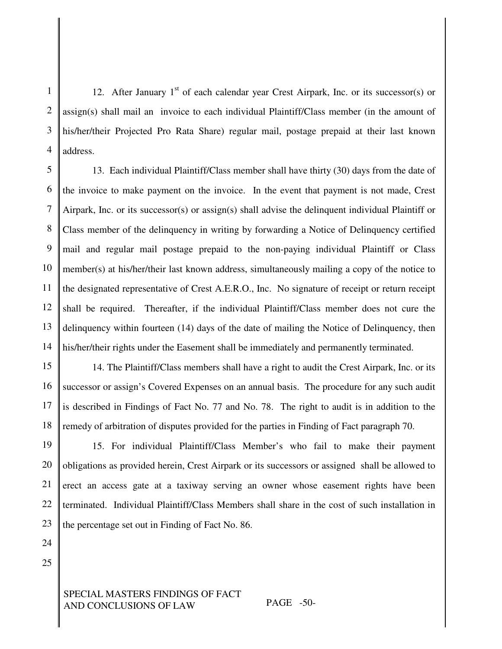1 2 3 4 12. After January  $1<sup>st</sup>$  of each calendar year Crest Airpark, Inc. or its successor(s) or assign(s) shall mail an invoice to each individual Plaintiff/Class member (in the amount of his/her/their Projected Pro Rata Share) regular mail, postage prepaid at their last known address.

5 6 7 8 9 10 11 12 13 14 13. Each individual Plaintiff/Class member shall have thirty (30) days from the date of the invoice to make payment on the invoice. In the event that payment is not made, Crest Airpark, Inc. or its successor(s) or assign(s) shall advise the delinquent individual Plaintiff or Class member of the delinquency in writing by forwarding a Notice of Delinquency certified mail and regular mail postage prepaid to the non-paying individual Plaintiff or Class member(s) at his/her/their last known address, simultaneously mailing a copy of the notice to the designated representative of Crest A.E.R.O., Inc. No signature of receipt or return receipt shall be required. Thereafter, if the individual Plaintiff/Class member does not cure the delinquency within fourteen (14) days of the date of mailing the Notice of Delinquency, then his/her/their rights under the Easement shall be immediately and permanently terminated.

15 16 17 14. The Plaintiff/Class members shall have a right to audit the Crest Airpark, Inc. or its successor or assign's Covered Expenses on an annual basis. The procedure for any such audit is described in Findings of Fact No. 77 and No. 78. The right to audit is in addition to the remedy of arbitration of disputes provided for the parties in Finding of Fact paragraph 70.

15. For individual Plaintiff/Class Member's who fail to make their payment obligations as provided herein, Crest Airpark or its successors or assigned shall be allowed to erect an access gate at a taxiway serving an owner whose easement rights have been terminated. Individual Plaintiff/Class Members shall share in the cost of such installation in the percentage set out in Finding of Fact No. 86.

25

## SPECIAL MASTERS FINDINGS OF FACT AND CONCLUSIONS OF LAW PAGE -50-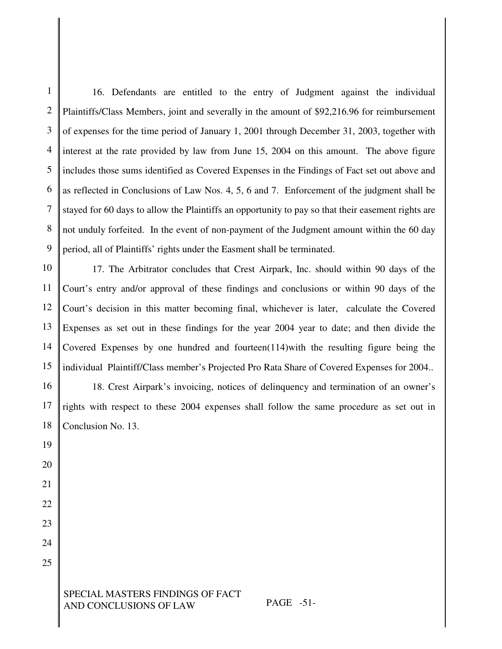1 2 3 4 5 6 7 8 9 16. Defendants are entitled to the entry of Judgment against the individual Plaintiffs/Class Members, joint and severally in the amount of \$92,216.96 for reimbursement of expenses for the time period of January 1, 2001 through December 31, 2003, together with interest at the rate provided by law from June 15, 2004 on this amount. The above figure includes those sums identified as Covered Expenses in the Findings of Fact set out above and as reflected in Conclusions of Law Nos. 4, 5, 6 and 7. Enforcement of the judgment shall be stayed for 60 days to allow the Plaintiffs an opportunity to pay so that their easement rights are not unduly forfeited. In the event of non-payment of the Judgment amount within the 60 day period, all of Plaintiffs' rights under the Easment shall be terminated.

10 11 12 13 14 15 17. The Arbitrator concludes that Crest Airpark, Inc. should within 90 days of the Court's entry and/or approval of these findings and conclusions or within 90 days of the Court's decision in this matter becoming final, whichever is later, calculate the Covered Expenses as set out in these findings for the year 2004 year to date; and then divide the Covered Expenses by one hundred and fourteen $(114)$  with the resulting figure being the individual Plaintiff/Class member's Projected Pro Rata Share of Covered Expenses for 2004..

16 18. Crest Airpark's invoicing, notices of delinquency and termination of an owner's rights with respect to these 2004 expenses shall follow the same procedure as set out in Conclusion No. 13.

> SPECIAL MASTERS FINDINGS OF FACT AND CONCLUSIONS OF LAW PAGE -51-